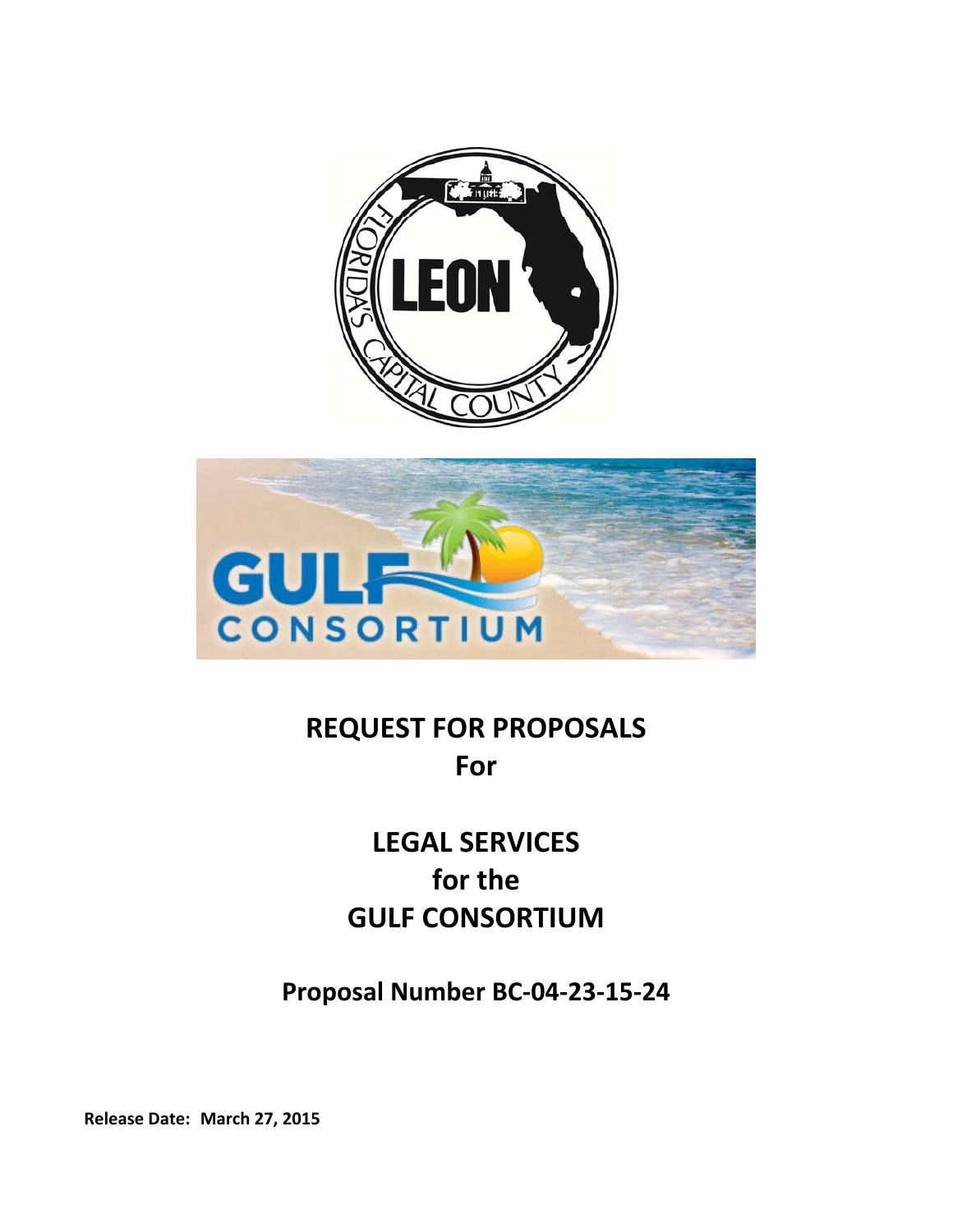



# **REQUEST FOR PROPOSALS For**

# **LEGAL SERVICES for the GULF CONSORTIUM**

**Proposal Number BC‐04‐23‐15‐24** 

**Release Date: March 27, 2015**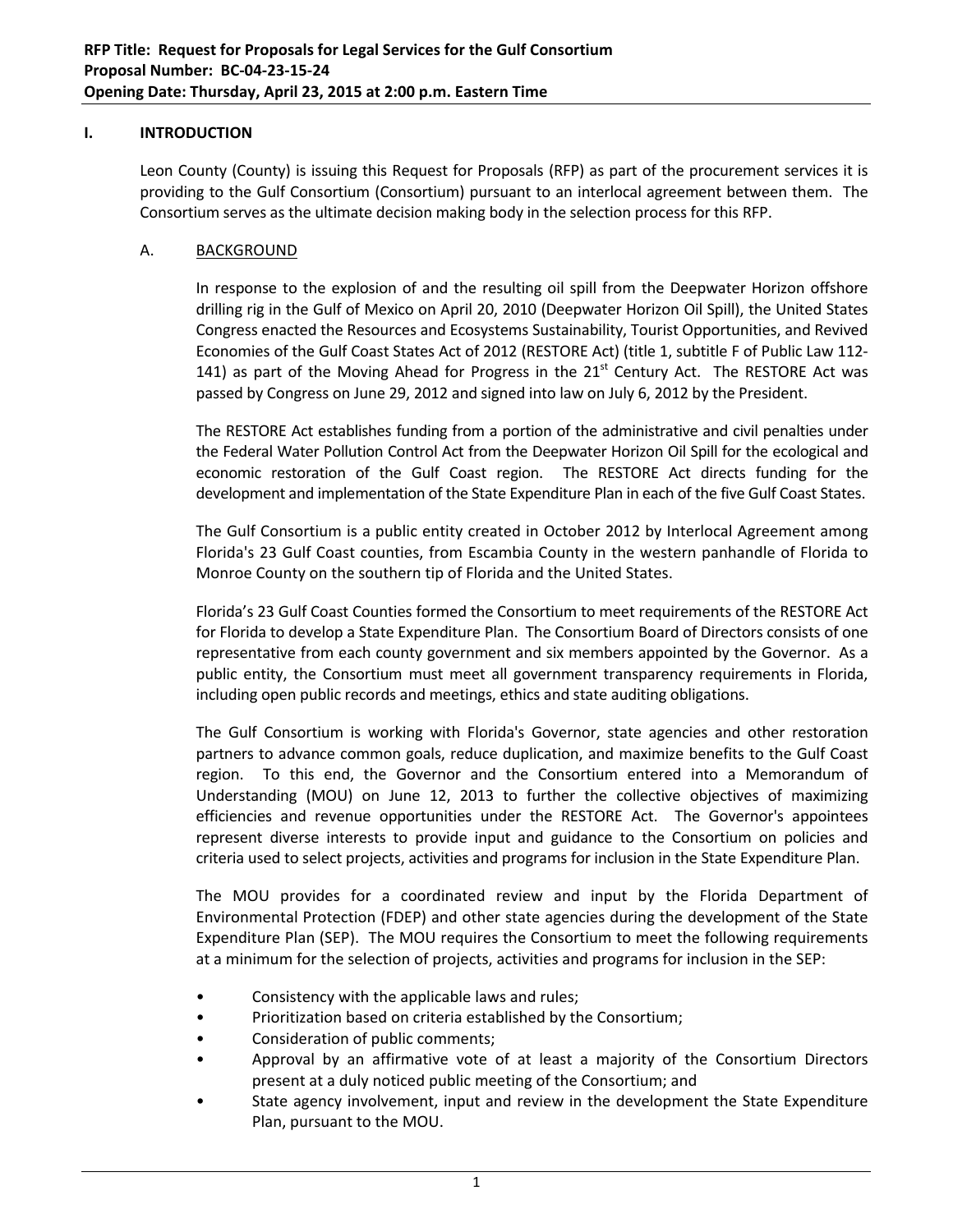## **I. INTRODUCTION**

Leon County (County) is issuing this Request for Proposals (RFP) as part of the procurement services it is providing to the Gulf Consortium (Consortium) pursuant to an interlocal agreement between them. The Consortium serves as the ultimate decision making body in the selection process for this RFP.

#### A. BACKGROUND

In response to the explosion of and the resulting oil spill from the Deepwater Horizon offshore drilling rig in the Gulf of Mexico on April 20, 2010 (Deepwater Horizon Oil Spill), the United States Congress enacted the Resources and Ecosystems Sustainability, Tourist Opportunities, and Revived Economies of the Gulf Coast States Act of 2012 (RESTORE Act) (title 1, subtitle F of Public Law 112‐ 141) as part of the Moving Ahead for Progress in the  $21<sup>st</sup>$  Century Act. The RESTORE Act was passed by Congress on June 29, 2012 and signed into law on July 6, 2012 by the President.

The RESTORE Act establishes funding from a portion of the administrative and civil penalties under the Federal Water Pollution Control Act from the Deepwater Horizon Oil Spill for the ecological and economic restoration of the Gulf Coast region. The RESTORE Act directs funding for the development and implementation of the State Expenditure Plan in each of the five Gulf Coast States.

The Gulf Consortium is a public entity created in October 2012 by Interlocal Agreement among Florida's 23 Gulf Coast counties, from Escambia County in the western panhandle of Florida to Monroe County on the southern tip of Florida and the United States.

Florida's 23 Gulf Coast Counties formed the Consortium to meet requirements of the RESTORE Act for Florida to develop a State Expenditure Plan. The Consortium Board of Directors consists of one representative from each county government and six members appointed by the Governor. As a public entity, the Consortium must meet all government transparency requirements in Florida, including open public records and meetings, ethics and state auditing obligations.

The Gulf Consortium is working with Florida's Governor, state agencies and other restoration partners to advance common goals, reduce duplication, and maximize benefits to the Gulf Coast region. To this end, the Governor and the Consortium entered into a Memorandum of Understanding (MOU) on June 12, 2013 to further the collective objectives of maximizing efficiencies and revenue opportunities under the RESTORE Act. The Governor's appointees represent diverse interests to provide input and guidance to the Consortium on policies and criteria used to select projects, activities and programs for inclusion in the State Expenditure Plan.

The MOU provides for a coordinated review and input by the Florida Department of Environmental Protection (FDEP) and other state agencies during the development of the State Expenditure Plan (SEP). The MOU requires the Consortium to meet the following requirements at a minimum for the selection of projects, activities and programs for inclusion in the SEP:

- Consistency with the applicable laws and rules;
- Prioritization based on criteria established by the Consortium;
- Consideration of public comments;
- Approval by an affirmative vote of at least a majority of the Consortium Directors present at a duly noticed public meeting of the Consortium; and
- State agency involvement, input and review in the development the State Expenditure Plan, pursuant to the MOU.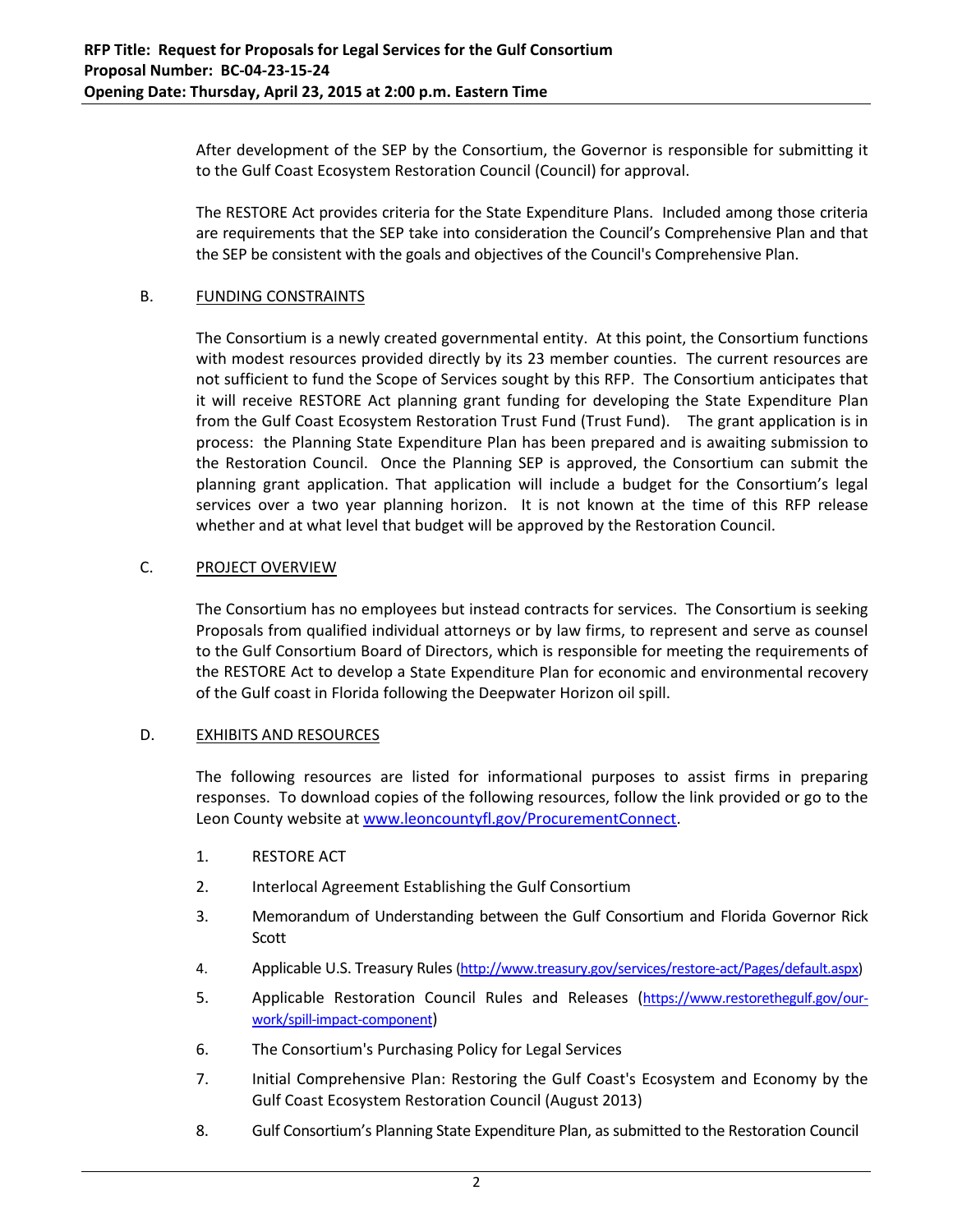After development of the SEP by the Consortium, the Governor is responsible for submitting it to the Gulf Coast Ecosystem Restoration Council (Council) for approval.

The RESTORE Act provides criteria for the State Expenditure Plans. Included among those criteria are requirements that the SEP take into consideration the Council's Comprehensive Plan and that the SEP be consistent with the goals and objectives of the Council's Comprehensive Plan.

#### B. FUNDING CONSTRAINTS

The Consortium is a newly created governmental entity. At this point, the Consortium functions with modest resources provided directly by its 23 member counties. The current resources are not sufficient to fund the Scope of Services sought by this RFP. The Consortium anticipates that it will receive RESTORE Act planning grant funding for developing the State Expenditure Plan from the Gulf Coast Ecosystem Restoration Trust Fund (Trust Fund). The grant application is in process: the Planning State Expenditure Plan has been prepared and is awaiting submission to the Restoration Council. Once the Planning SEP is approved, the Consortium can submit the planning grant application. That application will include a budget for the Consortium's legal services over a two year planning horizon. It is not known at the time of this RFP release whether and at what level that budget will be approved by the Restoration Council.

## C. PROJECT OVERVIEW

The Consortium has no employees but instead contracts for services. The Consortium is seeking Proposals from qualified individual attorneys or by law firms, to represent and serve as counsel to the Gulf Consortium Board of Directors, which is responsible for meeting the requirements of the RESTORE Act to develop a State Expenditure Plan for economic and environmental recovery of the Gulf coast in Florida following the Deepwater Horizon oil spill.

#### D. EXHIBITS AND RESOURCES

The following resources are listed for informational purposes to assist firms in preparing responses. To download copies of the following resources, follow the link provided or go to the Leon County website at www.leoncountyfl.gov/ProcurementConnect.

- 1. RESTORE ACT
- 2. Interlocal Agreement Establishing the Gulf Consortium
- 3. Memorandum of Understanding between the Gulf Consortium and Florida Governor Rick Scott
- 4. Applicable U.S. Treasury Rules(http://www.treasury.gov/services/restore‐act/Pages/default.aspx)
- 5. Applicable Restoration Council Rules and Releases (https://www.restorethegulf.gov/ourwork/spill‐impact‐component)
- 6. The Consortium's Purchasing Policy for Legal Services
- 7. Initial Comprehensive Plan: Restoring the Gulf Coast's Ecosystem and Economy by the Gulf Coast Ecosystem Restoration Council (August 2013)
- 8. Gulf Consortium's Planning State Expenditure Plan, as submitted to the Restoration Council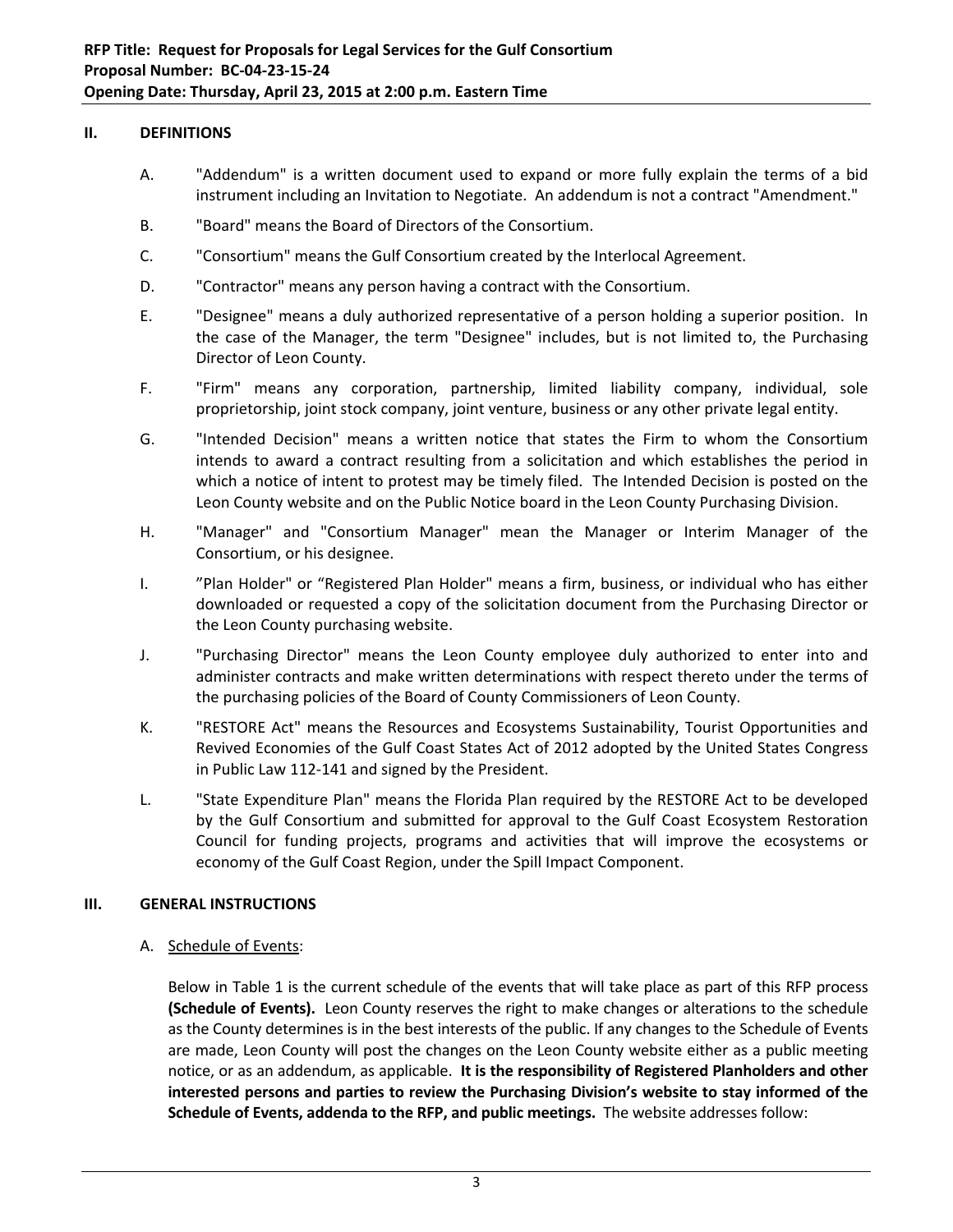#### **II. DEFINITIONS**

- A. "Addendum" is a written document used to expand or more fully explain the terms of a bid instrument including an Invitation to Negotiate. An addendum is not a contract "Amendment."
- B. "Board" means the Board of Directors of the Consortium.
- C. "Consortium" means the Gulf Consortium created by the Interlocal Agreement.
- D. "Contractor" means any person having a contract with the Consortium.
- E. "Designee" means a duly authorized representative of a person holding a superior position. In the case of the Manager, the term "Designee" includes, but is not limited to, the Purchasing Director of Leon County.
- F. "Firm" means any corporation, partnership, limited liability company, individual, sole proprietorship, joint stock company, joint venture, business or any other private legal entity.
- G. "Intended Decision" means a written notice that states the Firm to whom the Consortium intends to award a contract resulting from a solicitation and which establishes the period in which a notice of intent to protest may be timely filed. The Intended Decision is posted on the Leon County website and on the Public Notice board in the Leon County Purchasing Division.
- H. "Manager" and "Consortium Manager" mean the Manager or Interim Manager of the Consortium, or his designee.
- I. "Plan Holder" or "Registered Plan Holder" means a firm, business, or individual who has either downloaded or requested a copy of the solicitation document from the Purchasing Director or the Leon County purchasing website.
- J. "Purchasing Director" means the Leon County employee duly authorized to enter into and administer contracts and make written determinations with respect thereto under the terms of the purchasing policies of the Board of County Commissioners of Leon County.
- K. "RESTORE Act" means the Resources and Ecosystems Sustainability, Tourist Opportunities and Revived Economies of the Gulf Coast States Act of 2012 adopted by the United States Congress in Public Law 112‐141 and signed by the President.
- L. "State Expenditure Plan" means the Florida Plan required by the RESTORE Act to be developed by the Gulf Consortium and submitted for approval to the Gulf Coast Ecosystem Restoration Council for funding projects, programs and activities that will improve the ecosystems or economy of the Gulf Coast Region, under the Spill Impact Component.

#### **III. GENERAL INSTRUCTIONS**

A. Schedule of Events:

Below in Table 1 is the current schedule of the events that will take place as part of this RFP process **(Schedule of Events).** Leon County reserves the right to make changes or alterations to the schedule as the County determines is in the best interests of the public. If any changes to the Schedule of Events are made, Leon County will post the changes on the Leon County website either as a public meeting notice, or as an addendum, as applicable. **It is the responsibility of Registered Planholders and other interested persons and parties to review the Purchasing Division's website to stay informed of the Schedule of Events, addenda to the RFP, and public meetings.** The website addresses follow: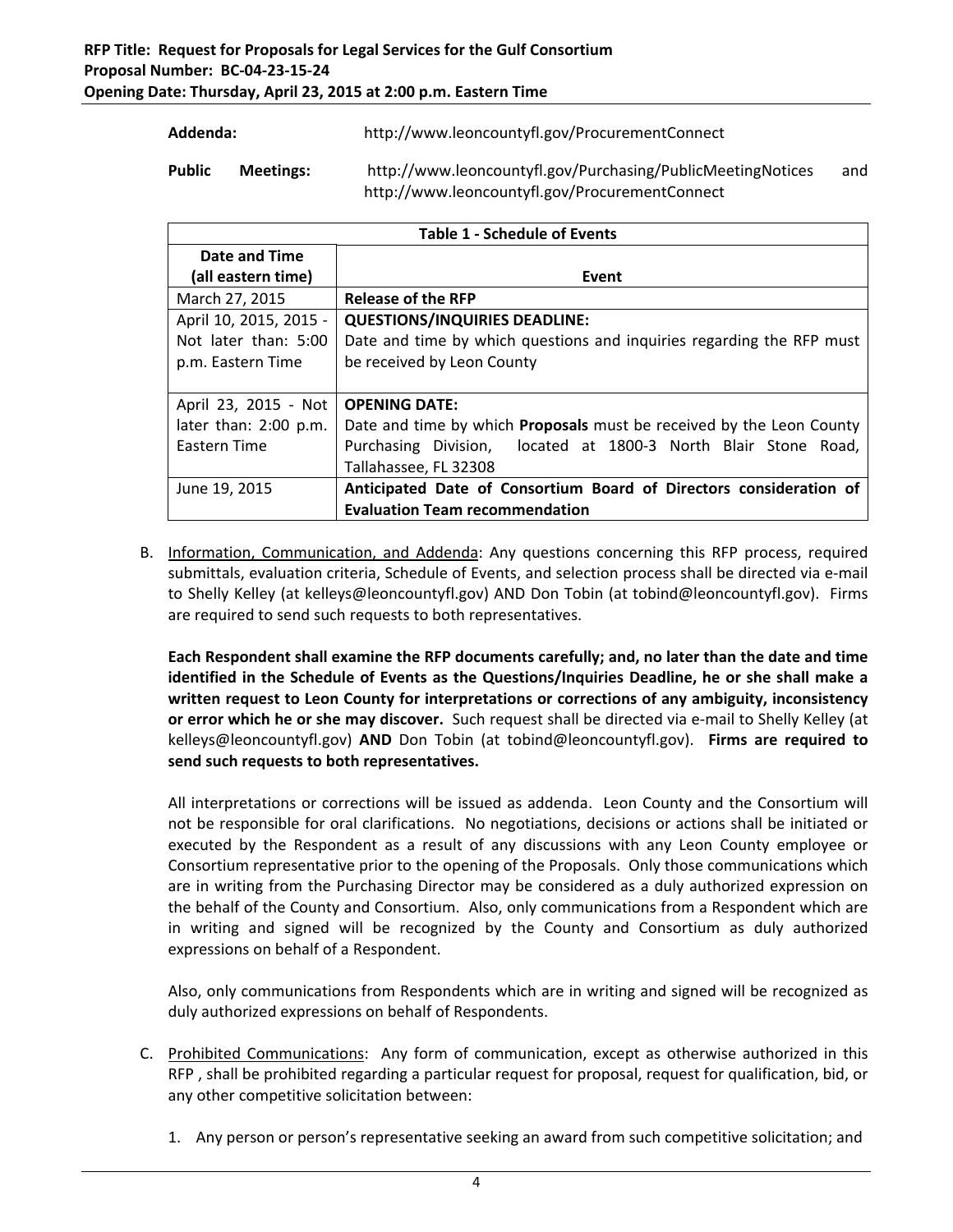| Addenda:      |           | http://www.leoncountyfl.gov/ProcurementConnect              |     |
|---------------|-----------|-------------------------------------------------------------|-----|
| <b>Public</b> | Meetings: | http://www.leoncountyfl.gov/Purchasing/PublicMeetingNotices | and |
|               |           | http://www.leoncountyfl.gov/ProcurementConnect              |     |

| <b>Table 1 - Schedule of Events</b> |                                                                             |  |
|-------------------------------------|-----------------------------------------------------------------------------|--|
| Date and Time                       |                                                                             |  |
| (all eastern time)                  | Event                                                                       |  |
| March 27, 2015                      | <b>Release of the RFP</b>                                                   |  |
| April 10, 2015, 2015 -              | <b>QUESTIONS/INQUIRIES DEADLINE:</b>                                        |  |
| Not later than: 5:00                | Date and time by which questions and inquiries regarding the RFP must       |  |
| p.m. Eastern Time                   | be received by Leon County                                                  |  |
|                                     |                                                                             |  |
| April 23, 2015 - Not                | <b>OPENING DATE:</b>                                                        |  |
| later than: 2:00 p.m.               | Date and time by which <b>Proposals</b> must be received by the Leon County |  |
| Eastern Time                        | Purchasing Division, located at 1800-3 North Blair Stone Road,              |  |
|                                     | Tallahassee, FL 32308                                                       |  |
| June 19, 2015                       | Anticipated Date of Consortium Board of Directors consideration of          |  |
|                                     | <b>Evaluation Team recommendation</b>                                       |  |

B. Information, Communication, and Addenda: Any questions concerning this RFP process, required submittals, evaluation criteria, Schedule of Events, and selection process shall be directed via e‐mail to Shelly Kelley (at kelleys@leoncountyfl.gov) AND Don Tobin (at tobind@leoncountyfl.gov). Firms are required to send such requests to both representatives.

**Each Respondent shall examine the RFP documents carefully; and, no later than the date and time identified in the Schedule of Events as the Questions/Inquiries Deadline, he or she shall make a written request to Leon County for interpretations or corrections of any ambiguity, inconsistency or error which he or she may discover.** Such request shall be directed via e‐mail to Shelly Kelley (at kelleys@leoncountyfl.gov) **AND** Don Tobin (at tobind@leoncountyfl.gov). **Firms are required to send such requests to both representatives.**

All interpretations or corrections will be issued as addenda. Leon County and the Consortium will not be responsible for oral clarifications. No negotiations, decisions or actions shall be initiated or executed by the Respondent as a result of any discussions with any Leon County employee or Consortium representative prior to the opening of the Proposals. Only those communications which are in writing from the Purchasing Director may be considered as a duly authorized expression on the behalf of the County and Consortium. Also, only communications from a Respondent which are in writing and signed will be recognized by the County and Consortium as duly authorized expressions on behalf of a Respondent.

Also, only communications from Respondents which are in writing and signed will be recognized as duly authorized expressions on behalf of Respondents.

- C. Prohibited Communications: Any form of communication, except as otherwise authorized in this RFP , shall be prohibited regarding a particular request for proposal, request for qualification, bid, or any other competitive solicitation between:
	- 1. Any person or person's representative seeking an award from such competitive solicitation; and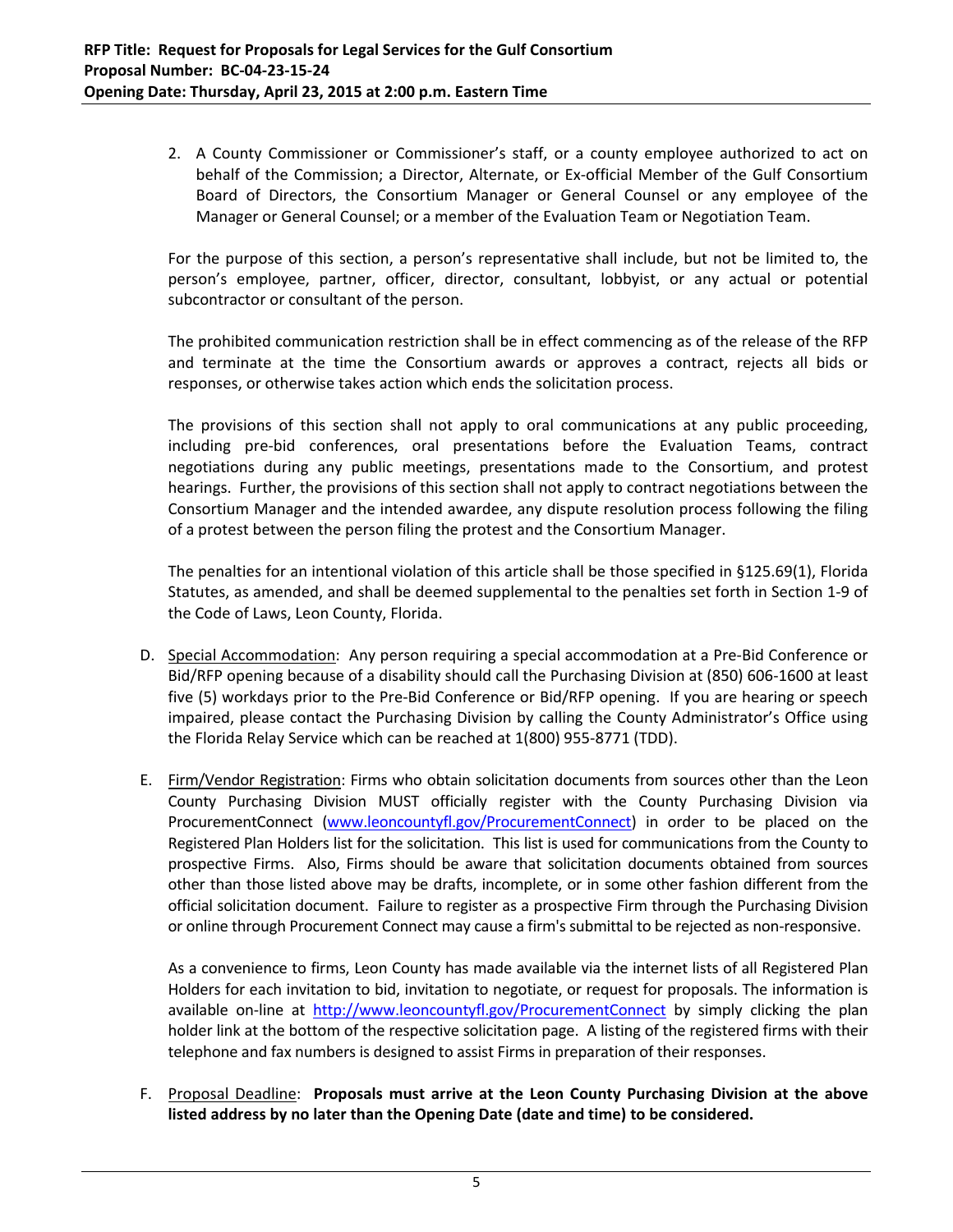2. A County Commissioner or Commissioner's staff, or a county employee authorized to act on behalf of the Commission; a Director, Alternate, or Ex-official Member of the Gulf Consortium Board of Directors, the Consortium Manager or General Counsel or any employee of the Manager or General Counsel; or a member of the Evaluation Team or Negotiation Team.

For the purpose of this section, a person's representative shall include, but not be limited to, the person's employee, partner, officer, director, consultant, lobbyist, or any actual or potential subcontractor or consultant of the person.

The prohibited communication restriction shall be in effect commencing as of the release of the RFP and terminate at the time the Consortium awards or approves a contract, rejects all bids or responses, or otherwise takes action which ends the solicitation process.

The provisions of this section shall not apply to oral communications at any public proceeding, including pre‐bid conferences, oral presentations before the Evaluation Teams, contract negotiations during any public meetings, presentations made to the Consortium, and protest hearings. Further, the provisions of this section shall not apply to contract negotiations between the Consortium Manager and the intended awardee, any dispute resolution process following the filing of a protest between the person filing the protest and the Consortium Manager.

The penalties for an intentional violation of this article shall be those specified in §125.69(1), Florida Statutes, as amended, and shall be deemed supplemental to the penalties set forth in Section 1‐9 of the Code of Laws, Leon County, Florida.

- D. Special Accommodation: Any person requiring a special accommodation at a Pre‐Bid Conference or Bid/RFP opening because of a disability should call the Purchasing Division at (850) 606‐1600 at least five (5) workdays prior to the Pre‐Bid Conference or Bid/RFP opening. If you are hearing or speech impaired, please contact the Purchasing Division by calling the County Administrator's Office using the Florida Relay Service which can be reached at 1(800) 955‐8771 (TDD).
- E. Firm/Vendor Registration: Firms who obtain solicitation documents from sources other than the Leon County Purchasing Division MUST officially register with the County Purchasing Division via ProcurementConnect (www.leoncountyfl.gov/ProcurementConnect) in order to be placed on the Registered Plan Holders list for the solicitation. This list is used for communications from the County to prospective Firms. Also, Firms should be aware that solicitation documents obtained from sources other than those listed above may be drafts, incomplete, or in some other fashion different from the official solicitation document. Failure to register as a prospective Firm through the Purchasing Division or online through Procurement Connect may cause a firm's submittal to be rejected as non‐responsive.

As a convenience to firms, Leon County has made available via the internet lists of all Registered Plan Holders for each invitation to bid, invitation to negotiate, or request for proposals. The information is available on-line at http://www.leoncountyfl.gov/ProcurementConnect by simply clicking the plan holder link at the bottom of the respective solicitation page. A listing of the registered firms with their telephone and fax numbers is designed to assist Firms in preparation of their responses.

F. Proposal Deadline: **Proposals must arrive at the Leon County Purchasing Division at the above listed address by no later than the Opening Date (date and time) to be considered.**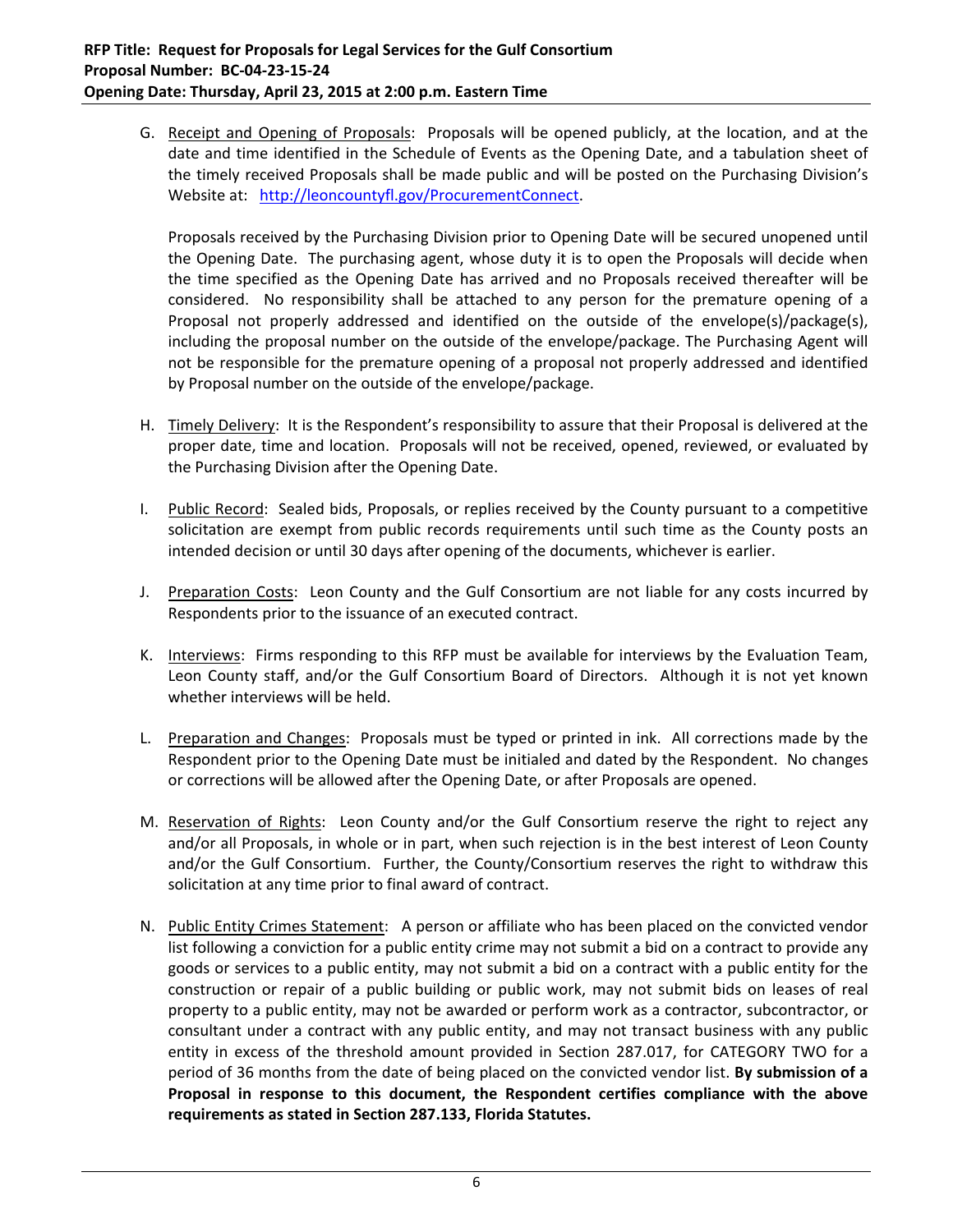G. Receipt and Opening of Proposals: Proposals will be opened publicly, at the location, and at the date and time identified in the Schedule of Events as the Opening Date, and a tabulation sheet of the timely received Proposals shall be made public and will be posted on the Purchasing Division's Website at: http://leoncountyfl.gov/ProcurementConnect.

Proposals received by the Purchasing Division prior to Opening Date will be secured unopened until the Opening Date. The purchasing agent, whose duty it is to open the Proposals will decide when the time specified as the Opening Date has arrived and no Proposals received thereafter will be considered. No responsibility shall be attached to any person for the premature opening of a Proposal not properly addressed and identified on the outside of the envelope(s)/package(s), including the proposal number on the outside of the envelope/package. The Purchasing Agent will not be responsible for the premature opening of a proposal not properly addressed and identified by Proposal number on the outside of the envelope/package.

- H. Timely Delivery: It is the Respondent's responsibility to assure that their Proposal is delivered at the proper date, time and location. Proposals will not be received, opened, reviewed, or evaluated by the Purchasing Division after the Opening Date.
- I. Public Record: Sealed bids, Proposals, or replies received by the County pursuant to a competitive solicitation are exempt from public records requirements until such time as the County posts an intended decision or until 30 days after opening of the documents, whichever is earlier.
- J. Preparation Costs: Leon County and the Gulf Consortium are not liable for any costs incurred by Respondents prior to the issuance of an executed contract.
- K. Interviews: Firms responding to this RFP must be available for interviews by the Evaluation Team, Leon County staff, and/or the Gulf Consortium Board of Directors. Although it is not yet known whether interviews will be held.
- L. Preparation and Changes: Proposals must be typed or printed in ink. All corrections made by the Respondent prior to the Opening Date must be initialed and dated by the Respondent. No changes or corrections will be allowed after the Opening Date, or after Proposals are opened.
- M. Reservation of Rights: Leon County and/or the Gulf Consortium reserve the right to reject any and/or all Proposals, in whole or in part, when such rejection is in the best interest of Leon County and/or the Gulf Consortium. Further, the County/Consortium reserves the right to withdraw this solicitation at any time prior to final award of contract.
- N. Public Entity Crimes Statement: A person or affiliate who has been placed on the convicted vendor list following a conviction for a public entity crime may not submit a bid on a contract to provide any goods or services to a public entity, may not submit a bid on a contract with a public entity for the construction or repair of a public building or public work, may not submit bids on leases of real property to a public entity, may not be awarded or perform work as a contractor, subcontractor, or consultant under a contract with any public entity, and may not transact business with any public entity in excess of the threshold amount provided in Section 287.017, for CATEGORY TWO for a period of 36 months from the date of being placed on the convicted vendor list. **By submission of a Proposal in response to this document, the Respondent certifies compliance with the above requirements as stated in Section 287.133, Florida Statutes.**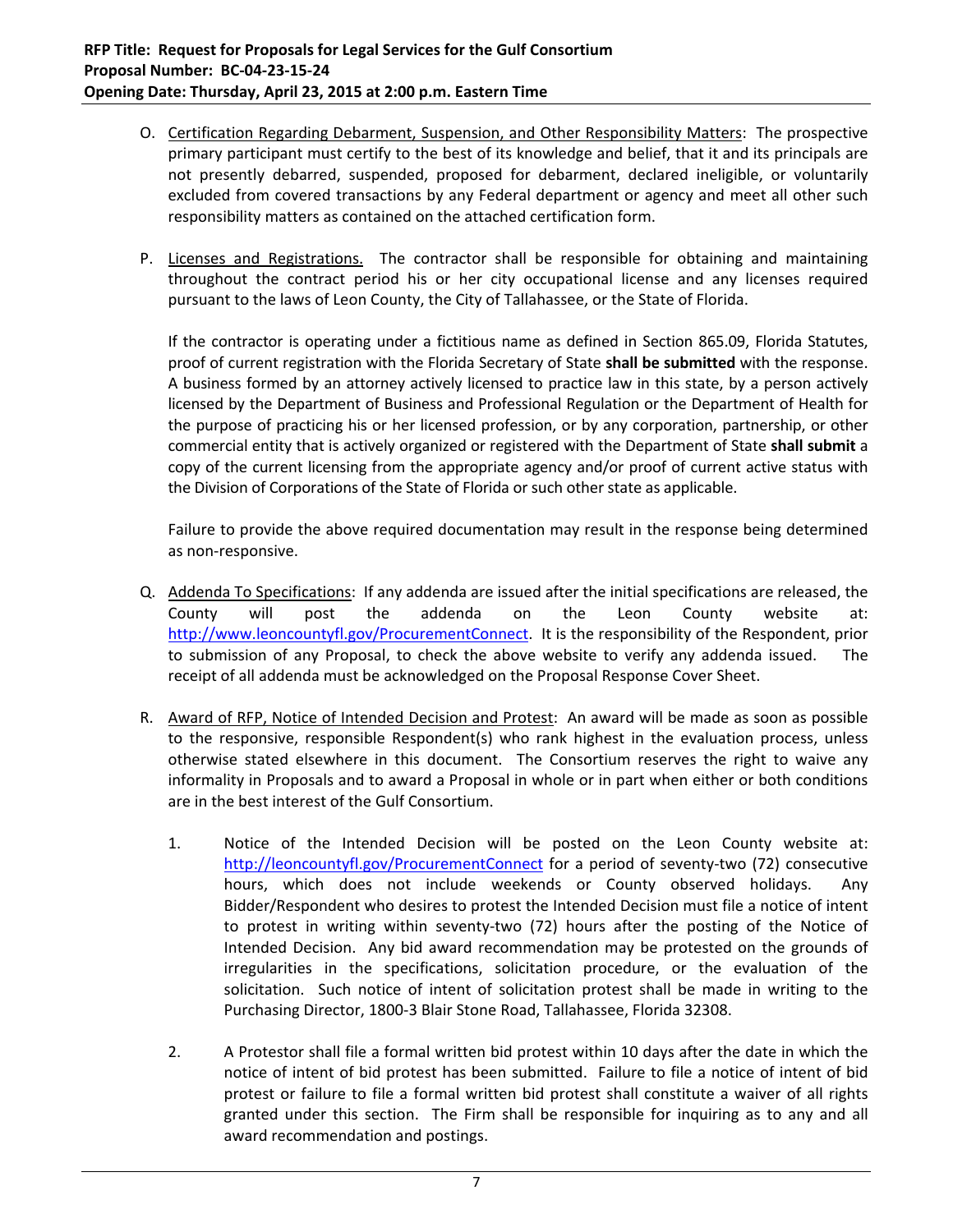- O. Certification Regarding Debarment, Suspension, and Other Responsibility Matters: The prospective primary participant must certify to the best of its knowledge and belief, that it and its principals are not presently debarred, suspended, proposed for debarment, declared ineligible, or voluntarily excluded from covered transactions by any Federal department or agency and meet all other such responsibility matters as contained on the attached certification form.
- P. Licenses and Registrations. The contractor shall be responsible for obtaining and maintaining throughout the contract period his or her city occupational license and any licenses required pursuant to the laws of Leon County, the City of Tallahassee, or the State of Florida.

If the contractor is operating under a fictitious name as defined in Section 865.09, Florida Statutes, proof of current registration with the Florida Secretary of State **shall be submitted** with the response. A business formed by an attorney actively licensed to practice law in this state, by a person actively licensed by the Department of Business and Professional Regulation or the Department of Health for the purpose of practicing his or her licensed profession, or by any corporation, partnership, or other commercial entity that is actively organized or registered with the Department of State **shall submit** a copy of the current licensing from the appropriate agency and/or proof of current active status with the Division of Corporations of the State of Florida or such other state as applicable.

Failure to provide the above required documentation may result in the response being determined as non‐responsive.

- Q. Addenda To Specifications: If any addenda are issued after the initial specifications are released, the County will post the addenda on the Leon County website at: http://www.leoncountyfl.gov/ProcurementConnect. It is the responsibility of the Respondent, prior to submission of any Proposal, to check the above website to verify any addenda issued. The receipt of all addenda must be acknowledged on the Proposal Response Cover Sheet.
- R. Award of RFP, Notice of Intended Decision and Protest: An award will be made as soon as possible to the responsive, responsible Respondent(s) who rank highest in the evaluation process, unless otherwise stated elsewhere in this document. The Consortium reserves the right to waive any informality in Proposals and to award a Proposal in whole or in part when either or both conditions are in the best interest of the Gulf Consortium.
	- 1. Notice of the Intended Decision will be posted on the Leon County website at: http://leoncountyfl.gov/ProcurementConnect for a period of seventy-two (72) consecutive hours, which does not include weekends or County observed holidays. Any Bidder/Respondent who desires to protest the Intended Decision must file a notice of intent to protest in writing within seventy‐two (72) hours after the posting of the Notice of Intended Decision. Any bid award recommendation may be protested on the grounds of irregularities in the specifications, solicitation procedure, or the evaluation of the solicitation. Such notice of intent of solicitation protest shall be made in writing to the Purchasing Director, 1800‐3 Blair Stone Road, Tallahassee, Florida 32308.
	- 2. A Protestor shall file a formal written bid protest within 10 days after the date in which the notice of intent of bid protest has been submitted. Failure to file a notice of intent of bid protest or failure to file a formal written bid protest shall constitute a waiver of all rights granted under this section. The Firm shall be responsible for inquiring as to any and all award recommendation and postings.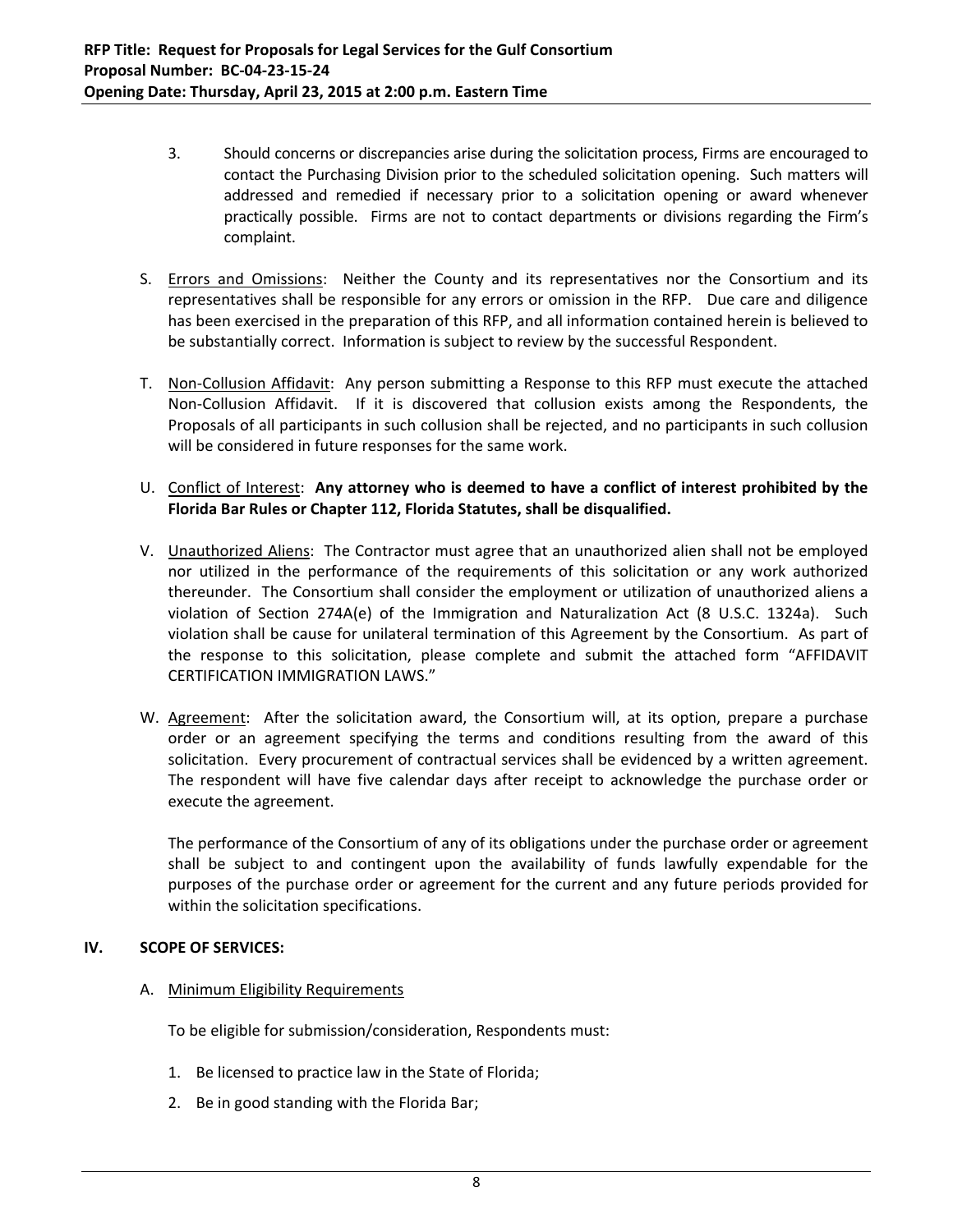- 3. Should concerns or discrepancies arise during the solicitation process, Firms are encouraged to contact the Purchasing Division prior to the scheduled solicitation opening. Such matters will addressed and remedied if necessary prior to a solicitation opening or award whenever practically possible. Firms are not to contact departments or divisions regarding the Firm's complaint.
- S. Errors and Omissions: Neither the County and its representatives nor the Consortium and its representatives shall be responsible for any errors or omission in the RFP. Due care and diligence has been exercised in the preparation of this RFP, and all information contained herein is believed to be substantially correct. Information is subject to review by the successful Respondent.
- T. Non‐Collusion Affidavit: Any person submitting a Response to this RFP must execute the attached Non‐Collusion Affidavit. If it is discovered that collusion exists among the Respondents, the Proposals of all participants in such collusion shall be rejected, and no participants in such collusion will be considered in future responses for the same work.
- U. Conflict of Interest: **Any attorney who is deemed to have a conflict of interest prohibited by the Florida Bar Rules or Chapter 112, Florida Statutes, shall be disqualified.**
- V. Unauthorized Aliens: The Contractor must agree that an unauthorized alien shall not be employed nor utilized in the performance of the requirements of this solicitation or any work authorized thereunder. The Consortium shall consider the employment or utilization of unauthorized aliens a violation of Section 274A(e) of the Immigration and Naturalization Act (8 U.S.C. 1324a). Such violation shall be cause for unilateral termination of this Agreement by the Consortium. As part of the response to this solicitation, please complete and submit the attached form "AFFIDAVIT CERTIFICATION IMMIGRATION LAWS."
- W. Agreement: After the solicitation award, the Consortium will, at its option, prepare a purchase order or an agreement specifying the terms and conditions resulting from the award of this solicitation. Every procurement of contractual services shall be evidenced by a written agreement. The respondent will have five calendar days after receipt to acknowledge the purchase order or execute the agreement.

The performance of the Consortium of any of its obligations under the purchase order or agreement shall be subject to and contingent upon the availability of funds lawfully expendable for the purposes of the purchase order or agreement for the current and any future periods provided for within the solicitation specifications.

# **IV. SCOPE OF SERVICES:**

#### A. Minimum Eligibility Requirements

To be eligible for submission/consideration, Respondents must:

- 1. Be licensed to practice law in the State of Florida;
- 2. Be in good standing with the Florida Bar;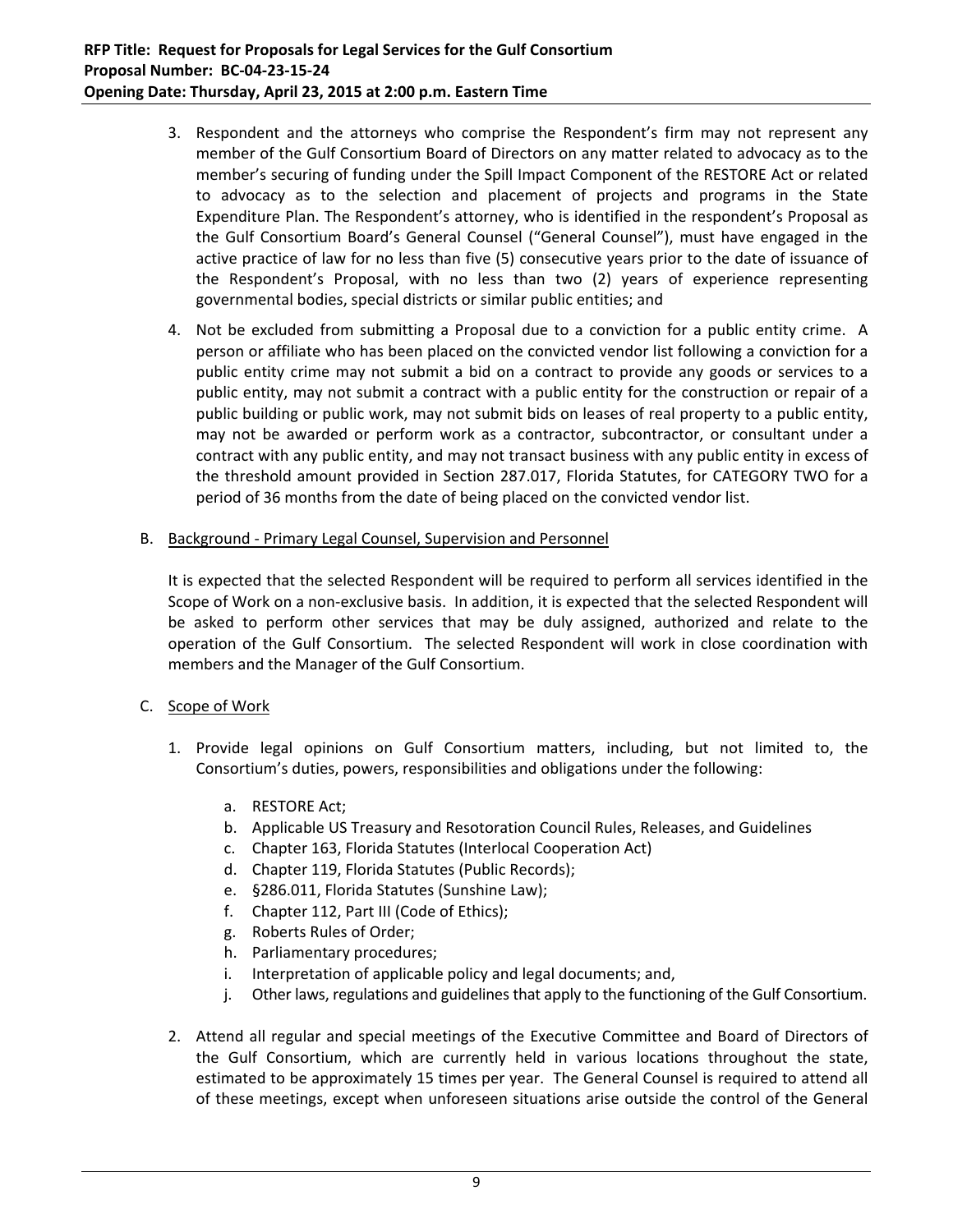- 3. Respondent and the attorneys who comprise the Respondent's firm may not represent any member of the Gulf Consortium Board of Directors on any matter related to advocacy as to the member's securing of funding under the Spill Impact Component of the RESTORE Act or related to advocacy as to the selection and placement of projects and programs in the State Expenditure Plan. The Respondent's attorney, who is identified in the respondent's Proposal as the Gulf Consortium Board's General Counsel ("General Counsel"), must have engaged in the active practice of law for no less than five (5) consecutive years prior to the date of issuance of the Respondent's Proposal, with no less than two (2) years of experience representing governmental bodies, special districts or similar public entities; and
- 4. Not be excluded from submitting a Proposal due to a conviction for a public entity crime. A person or affiliate who has been placed on the convicted vendor list following a conviction for a public entity crime may not submit a bid on a contract to provide any goods or services to a public entity, may not submit a contract with a public entity for the construction or repair of a public building or public work, may not submit bids on leases of real property to a public entity, may not be awarded or perform work as a contractor, subcontractor, or consultant under a contract with any public entity, and may not transact business with any public entity in excess of the threshold amount provided in Section 287.017, Florida Statutes, for CATEGORY TWO for a period of 36 months from the date of being placed on the convicted vendor list.
- B. Background ‐ Primary Legal Counsel, Supervision and Personnel

It is expected that the selected Respondent will be required to perform all services identified in the Scope of Work on a non‐exclusive basis. In addition, it is expected that the selected Respondent will be asked to perform other services that may be duly assigned, authorized and relate to the operation of the Gulf Consortium. The selected Respondent will work in close coordination with members and the Manager of the Gulf Consortium.

# C. Scope of Work

- 1. Provide legal opinions on Gulf Consortium matters, including, but not limited to, the Consortium's duties, powers, responsibilities and obligations under the following:
	- a. RESTORE Act;
	- b. Applicable US Treasury and Resotoration Council Rules, Releases, and Guidelines
	- c. Chapter 163, Florida Statutes (Interlocal Cooperation Act)
	- d. Chapter 119, Florida Statutes (Public Records);
	- e. §286.011, Florida Statutes (Sunshine Law);
	- f. Chapter 112, Part III (Code of Ethics);
	- g. Roberts Rules of Order;
	- h. Parliamentary procedures;
	- i. Interpretation of applicable policy and legal documents; and,
	- j. Other laws, regulations and guidelines that apply to the functioning of the Gulf Consortium.
- 2. Attend all regular and special meetings of the Executive Committee and Board of Directors of the Gulf Consortium, which are currently held in various locations throughout the state, estimated to be approximately 15 times per year. The General Counsel is required to attend all of these meetings, except when unforeseen situations arise outside the control of the General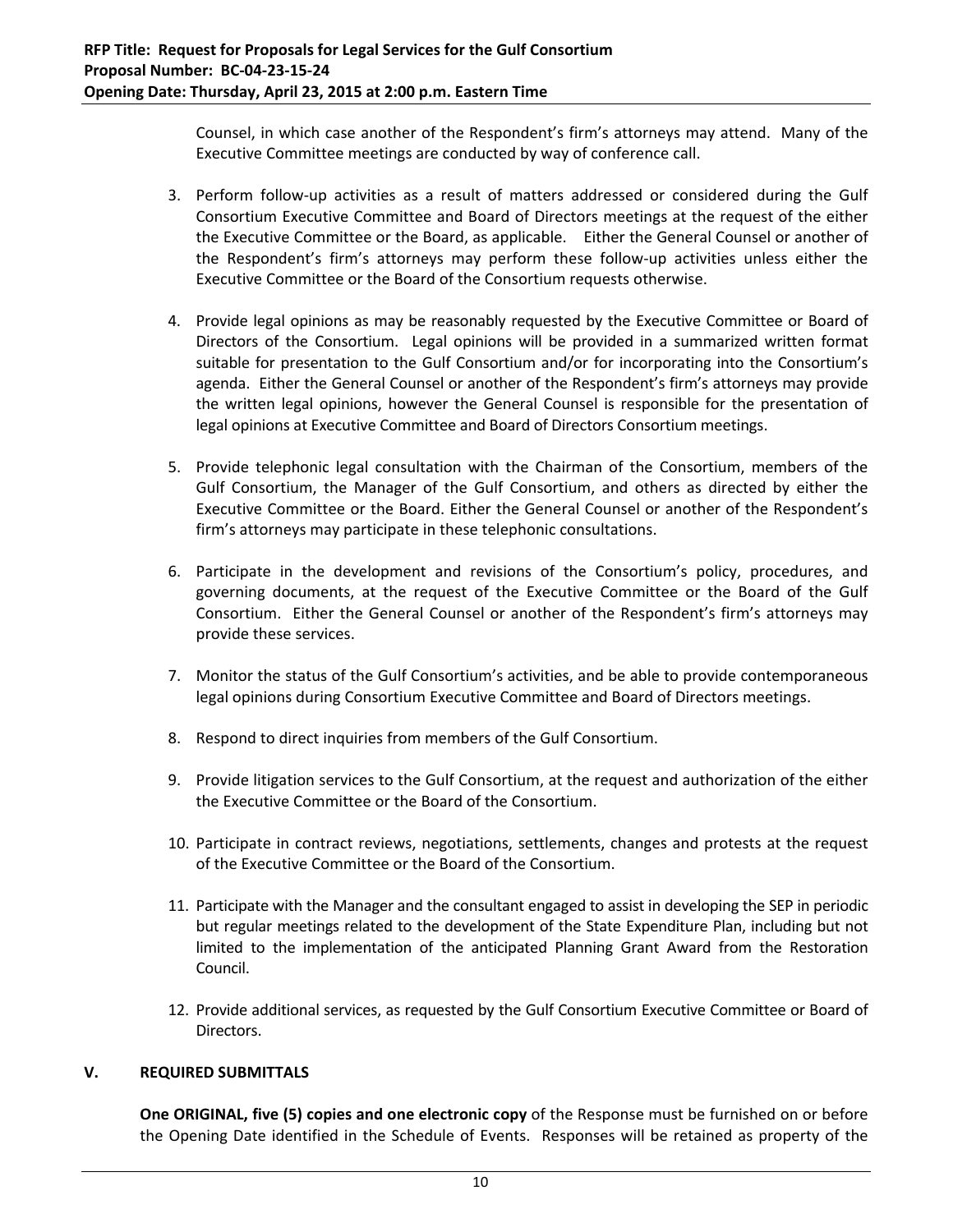Counsel, in which case another of the Respondent's firm's attorneys may attend. Many of the Executive Committee meetings are conducted by way of conference call.

- 3. Perform follow‐up activities as a result of matters addressed or considered during the Gulf Consortium Executive Committee and Board of Directors meetings at the request of the either the Executive Committee or the Board, as applicable. Either the General Counsel or another of the Respondent's firm's attorneys may perform these follow‐up activities unless either the Executive Committee or the Board of the Consortium requests otherwise.
- 4. Provide legal opinions as may be reasonably requested by the Executive Committee or Board of Directors of the Consortium. Legal opinions will be provided in a summarized written format suitable for presentation to the Gulf Consortium and/or for incorporating into the Consortium's agenda. Either the General Counsel or another of the Respondent's firm's attorneys may provide the written legal opinions, however the General Counsel is responsible for the presentation of legal opinions at Executive Committee and Board of Directors Consortium meetings.
- 5. Provide telephonic legal consultation with the Chairman of the Consortium, members of the Gulf Consortium, the Manager of the Gulf Consortium, and others as directed by either the Executive Committee or the Board. Either the General Counsel or another of the Respondent's firm's attorneys may participate in these telephonic consultations.
- 6. Participate in the development and revisions of the Consortium's policy, procedures, and governing documents, at the request of the Executive Committee or the Board of the Gulf Consortium. Either the General Counsel or another of the Respondent's firm's attorneys may provide these services.
- 7. Monitor the status of the Gulf Consortium's activities, and be able to provide contemporaneous legal opinions during Consortium Executive Committee and Board of Directors meetings.
- 8. Respond to direct inquiries from members of the Gulf Consortium.
- 9. Provide litigation services to the Gulf Consortium, at the request and authorization of the either the Executive Committee or the Board of the Consortium.
- 10. Participate in contract reviews, negotiations, settlements, changes and protests at the request of the Executive Committee or the Board of the Consortium.
- 11. Participate with the Manager and the consultant engaged to assist in developing the SEP in periodic but regular meetings related to the development of the State Expenditure Plan, including but not limited to the implementation of the anticipated Planning Grant Award from the Restoration Council.
- 12. Provide additional services, as requested by the Gulf Consortium Executive Committee or Board of Directors.

# **V. REQUIRED SUBMITTALS**

**One ORIGINAL, five (5) copies and one electronic copy** of the Response must be furnished on or before the Opening Date identified in the Schedule of Events.Responses will be retained as property of the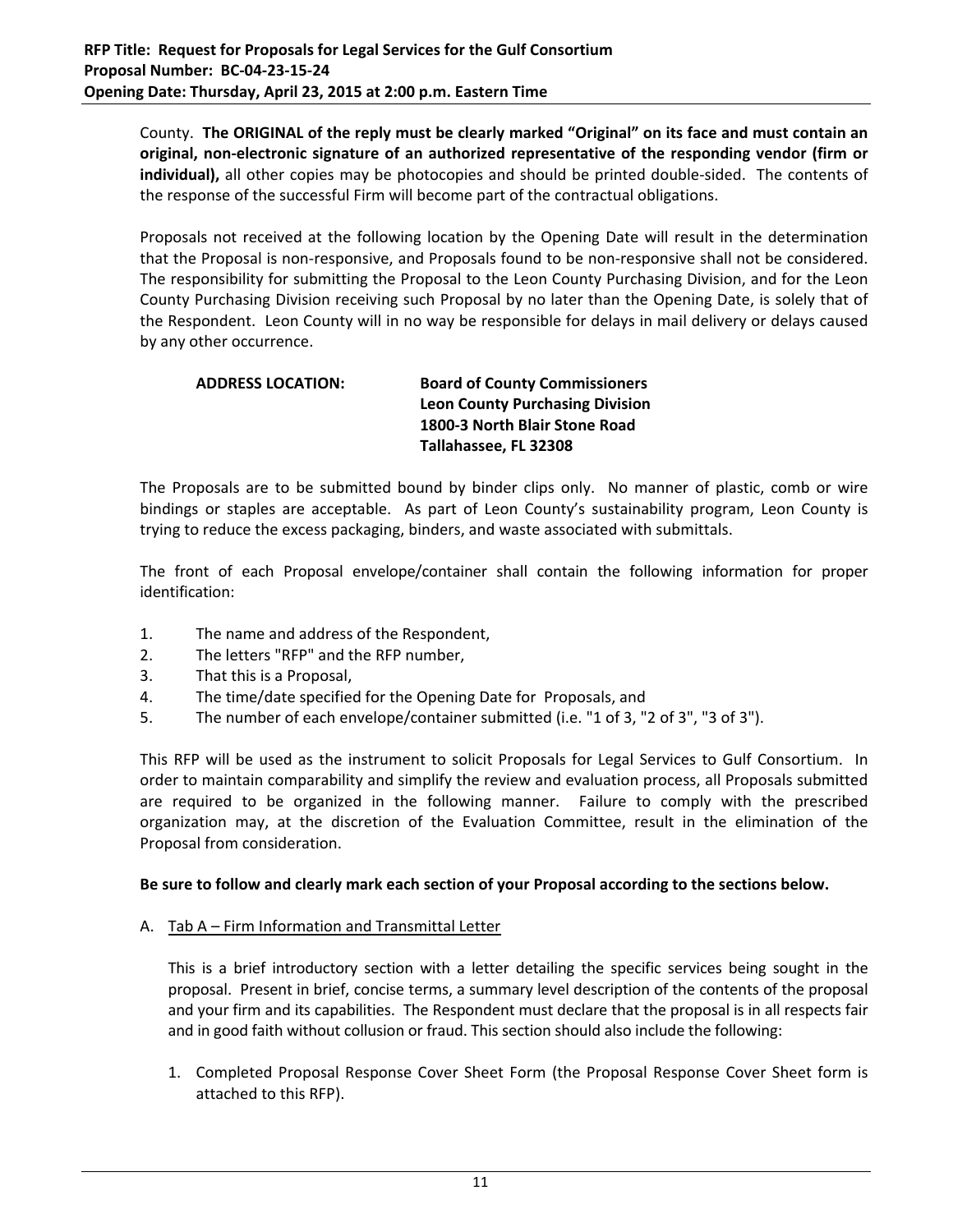County. The ORIGINAL of the reply must be clearly marked "Original" on its face and must contain an **original, non‐electronic signature of an authorized representative of the responding vendor (firm or** individual), all other copies may be photocopies and should be printed double-sided. The contents of the response of the successful Firm will become part of the contractual obligations.

Proposals not received at the following location by the Opening Date will result in the determination that the Proposal is non‐responsive, and Proposals found to be non‐responsive shall not be considered. The responsibility for submitting the Proposal to the Leon County Purchasing Division, and for the Leon County Purchasing Division receiving such Proposal by no later than the Opening Date, is solely that of the Respondent. Leon County will in no way be responsible for delays in mail delivery or delays caused by any other occurrence.

# **ADDRESS LOCATION: Board of County Commissioners Leon County Purchasing Division 1800‐3 North Blair Stone Road Tallahassee, FL 32308**

The Proposals are to be submitted bound by binder clips only. No manner of plastic, comb or wire bindings or staples are acceptable. As part of Leon County's sustainability program, Leon County is trying to reduce the excess packaging, binders, and waste associated with submittals.

The front of each Proposal envelope/container shall contain the following information for proper identification:

- 1. The name and address of the Respondent,
- 2. The letters "RFP" and the RFP number,
- 3. That this is a Proposal,
- 4. The time/date specified for the Opening Date for Proposals, and
- 5. The number of each envelope/container submitted (i.e. "1 of 3, "2 of 3", "3 of 3").

This RFP will be used as the instrument to solicit Proposals for Legal Services to Gulf Consortium. In order to maintain comparability and simplify the review and evaluation process, all Proposals submitted are required to be organized in the following manner. Failure to comply with the prescribed organization may, at the discretion of the Evaluation Committee, result in the elimination of the Proposal from consideration.

# Be sure to follow and clearly mark each section of your Proposal according to the sections below.

#### A. Tab A – Firm Information and Transmittal Letter

This is a brief introductory section with a letter detailing the specific services being sought in the proposal. Present in brief, concise terms, a summary level description of the contents of the proposal and your firm and its capabilities. The Respondent must declare that the proposal is in all respects fair and in good faith without collusion or fraud. This section should also include the following:

1. Completed Proposal Response Cover Sheet Form (the Proposal Response Cover Sheet form is attached to this RFP).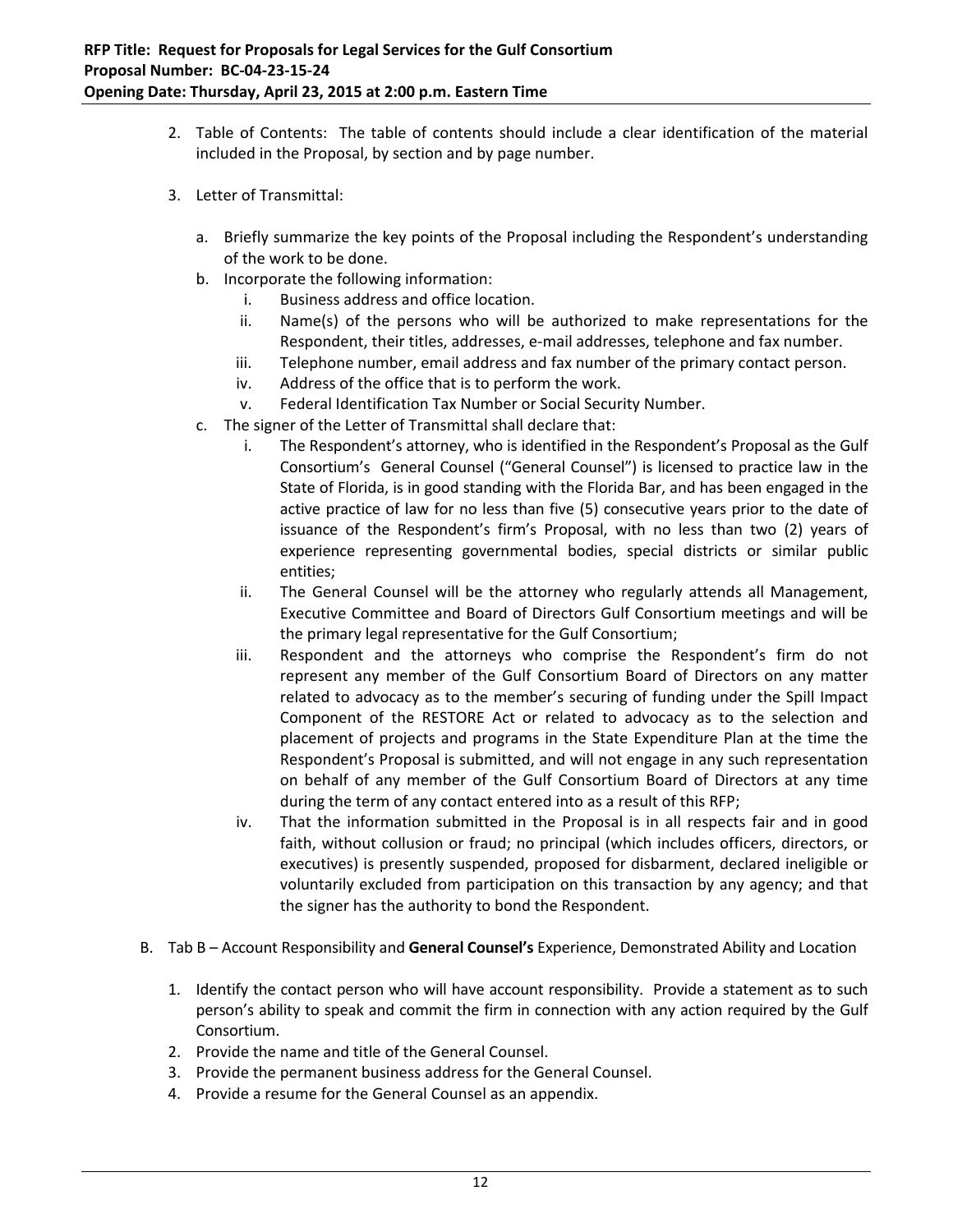- 2. Table of Contents: The table of contents should include a clear identification of the material included in the Proposal, by section and by page number.
- 3. Letter of Transmittal:
	- a. Briefly summarize the key points of the Proposal including the Respondent's understanding of the work to be done.
	- b. Incorporate the following information:
		- i. Business address and office location.
		- ii. Name(s) of the persons who will be authorized to make representations for the Respondent, their titles, addresses, e‐mail addresses, telephone and fax number.
		- iii. Telephone number, email address and fax number of the primary contact person.
		- iv. Address of the office that is to perform the work.
		- v. Federal Identification Tax Number or Social Security Number.
	- c. The signer of the Letter of Transmittal shall declare that:
		- i. The Respondent's attorney, who is identified in the Respondent's Proposal as the Gulf Consortium's General Counsel ("General Counsel") is licensed to practice law in the State of Florida, is in good standing with the Florida Bar, and has been engaged in the active practice of law for no less than five (5) consecutive years prior to the date of issuance of the Respondent's firm's Proposal, with no less than two (2) years of experience representing governmental bodies, special districts or similar public entities;
		- ii. The General Counsel will be the attorney who regularly attends all Management, Executive Committee and Board of Directors Gulf Consortium meetings and will be the primary legal representative for the Gulf Consortium;
		- iii. Respondent and the attorneys who comprise the Respondent's firm do not represent any member of the Gulf Consortium Board of Directors on any matter related to advocacy as to the member's securing of funding under the Spill Impact Component of the RESTORE Act or related to advocacy as to the selection and placement of projects and programs in the State Expenditure Plan at the time the Respondent's Proposal is submitted, and will not engage in any such representation on behalf of any member of the Gulf Consortium Board of Directors at any time during the term of any contact entered into as a result of this RFP;
		- iv. That the information submitted in the Proposal is in all respects fair and in good faith, without collusion or fraud; no principal (which includes officers, directors, or executives) is presently suspended, proposed for disbarment, declared ineligible or voluntarily excluded from participation on this transaction by any agency; and that the signer has the authority to bond the Respondent.
- B. Tab B Account Responsibility and **General Counsel's** Experience, Demonstrated Ability and Location
	- 1. Identify the contact person who will have account responsibility. Provide a statement as to such person's ability to speak and commit the firm in connection with any action required by the Gulf Consortium.
	- 2. Provide the name and title of the General Counsel.
	- 3. Provide the permanent business address for the General Counsel.
	- 4. Provide a resume for the General Counsel as an appendix.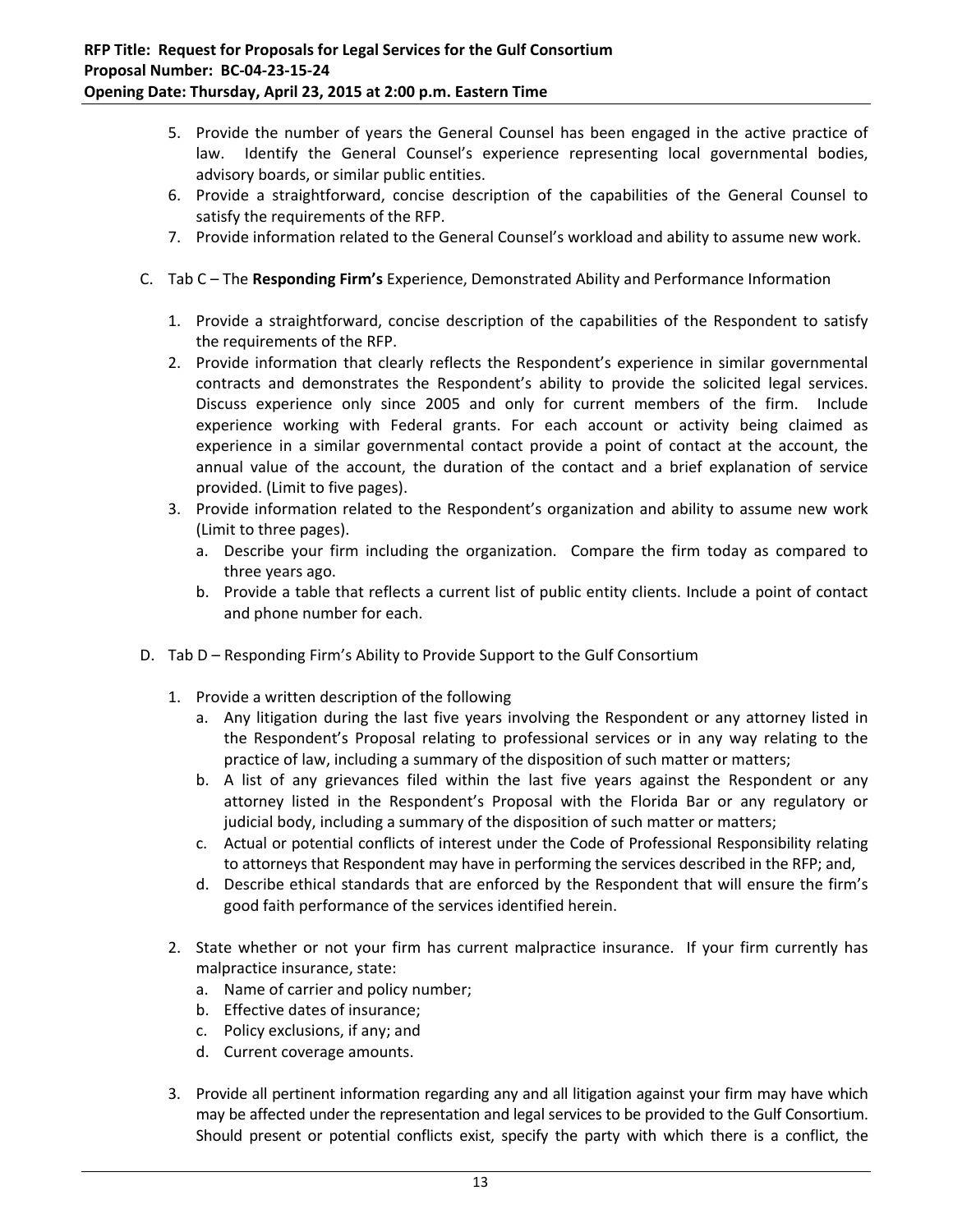- 5. Provide the number of years the General Counsel has been engaged in the active practice of law. Identify the General Counsel's experience representing local governmental bodies, advisory boards, or similar public entities.
- 6. Provide a straightforward, concise description of the capabilities of the General Counsel to satisfy the requirements of the RFP.
- 7. Provide information related to the General Counsel's workload and ability to assume new work.
- C. Tab C The **Responding Firm's** Experience, Demonstrated Ability and Performance Information
	- 1. Provide a straightforward, concise description of the capabilities of the Respondent to satisfy the requirements of the RFP.
	- 2. Provide information that clearly reflects the Respondent's experience in similar governmental contracts and demonstrates the Respondent's ability to provide the solicited legal services. Discuss experience only since 2005 and only for current members of the firm. Include experience working with Federal grants. For each account or activity being claimed as experience in a similar governmental contact provide a point of contact at the account, the annual value of the account, the duration of the contact and a brief explanation of service provided. (Limit to five pages).
	- 3. Provide information related to the Respondent's organization and ability to assume new work (Limit to three pages).
		- a. Describe your firm including the organization. Compare the firm today as compared to three years ago.
		- b. Provide a table that reflects a current list of public entity clients. Include a point of contact and phone number for each.
- D. Tab D Responding Firm's Ability to Provide Support to the Gulf Consortium
	- 1. Provide a written description of the following
		- a. Any litigation during the last five years involving the Respondent or any attorney listed in the Respondent's Proposal relating to professional services or in any way relating to the practice of law, including a summary of the disposition of such matter or matters;
		- b. A list of any grievances filed within the last five years against the Respondent or any attorney listed in the Respondent's Proposal with the Florida Bar or any regulatory or judicial body, including a summary of the disposition of such matter or matters;
		- c. Actual or potential conflicts of interest under the Code of Professional Responsibility relating to attorneys that Respondent may have in performing the services described in the RFP; and,
		- d. Describe ethical standards that are enforced by the Respondent that will ensure the firm's good faith performance of the services identified herein.
	- 2. State whether or not your firm has current malpractice insurance. If your firm currently has malpractice insurance, state:
		- a. Name of carrier and policy number;
		- b. Effective dates of insurance;
		- c. Policy exclusions, if any; and
		- d. Current coverage amounts.
	- 3. Provide all pertinent information regarding any and all litigation against your firm may have which may be affected under the representation and legal services to be provided to the Gulf Consortium. Should present or potential conflicts exist, specify the party with which there is a conflict, the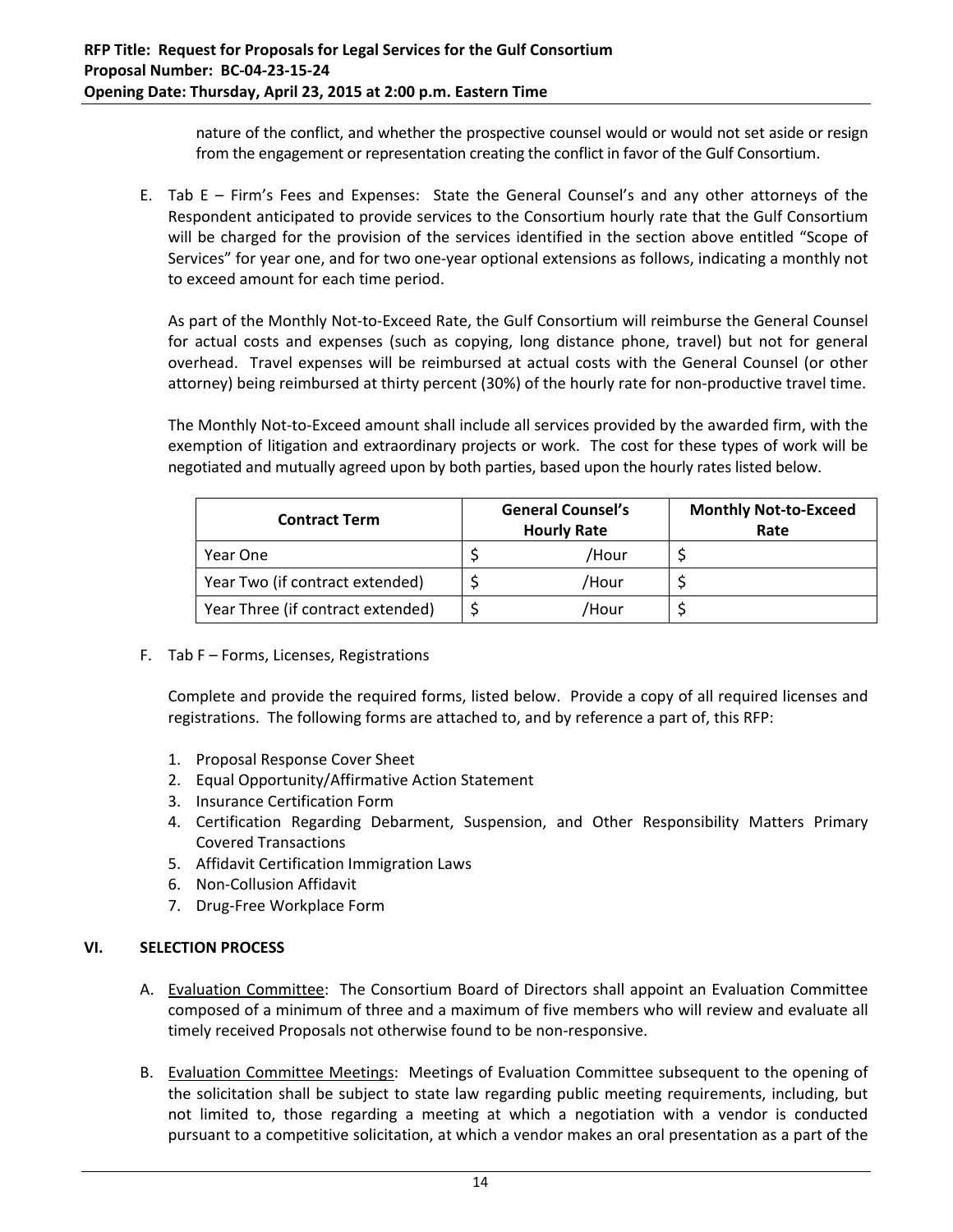nature of the conflict, and whether the prospective counsel would or would not set aside or resign from the engagement or representation creating the conflict in favor of the Gulf Consortium.

E. Tab E – Firm's Fees and Expenses: State the General Counsel's and any other attorneys of the Respondent anticipated to provide services to the Consortium hourly rate that the Gulf Consortium will be charged for the provision of the services identified in the section above entitled "Scope of Services" for year one, and for two one‐year optional extensions as follows, indicating a monthly not to exceed amount for each time period.

As part of the Monthly Not‐to‐Exceed Rate, the Gulf Consortium will reimburse the General Counsel for actual costs and expenses (such as copying, long distance phone, travel) but not for general overhead. Travel expenses will be reimbursed at actual costs with the General Counsel (or other attorney) being reimbursed at thirty percent (30%) of the hourly rate for non-productive travel time.

The Monthly Not‐to‐Exceed amount shall include all services provided by the awarded firm, with the exemption of litigation and extraordinary projects or work. The cost for these types of work will be negotiated and mutually agreed upon by both parties, based upon the hourly rates listed below.

| <b>Contract Term</b>              |  | <b>General Counsel's</b><br><b>Hourly Rate</b> | <b>Monthly Not-to-Exceed</b><br>Rate |
|-----------------------------------|--|------------------------------------------------|--------------------------------------|
| Year One                          |  | /Hour                                          |                                      |
| Year Two (if contract extended)   |  | /Hour                                          |                                      |
| Year Three (if contract extended) |  | /Hour                                          |                                      |

F. Tab F – Forms, Licenses, Registrations

Complete and provide the required forms, listed below. Provide a copy of all required licenses and registrations. The following forms are attached to, and by reference a part of, this RFP:

- 1. Proposal Response Cover Sheet
- 2. Equal Opportunity/Affirmative Action Statement
- 3. Insurance Certification Form
- 4. Certification Regarding Debarment, Suspension, and Other Responsibility Matters Primary Covered Transactions
- 5. Affidavit Certification Immigration Laws
- 6. Non‐Collusion Affidavit
- 7. Drug‐Free Workplace Form

# **VI. SELECTION PROCESS**

- A. Evaluation Committee: The Consortium Board of Directors shall appoint an Evaluation Committee composed of a minimum of three and a maximum of five members who will review and evaluate all timely received Proposals not otherwise found to be non‐responsive.
- B. Evaluation Committee Meetings: Meetings of Evaluation Committee subsequent to the opening of the solicitation shall be subject to state law regarding public meeting requirements, including, but not limited to, those regarding a meeting at which a negotiation with a vendor is conducted pursuant to a competitive solicitation, at which a vendor makes an oral presentation as a part of the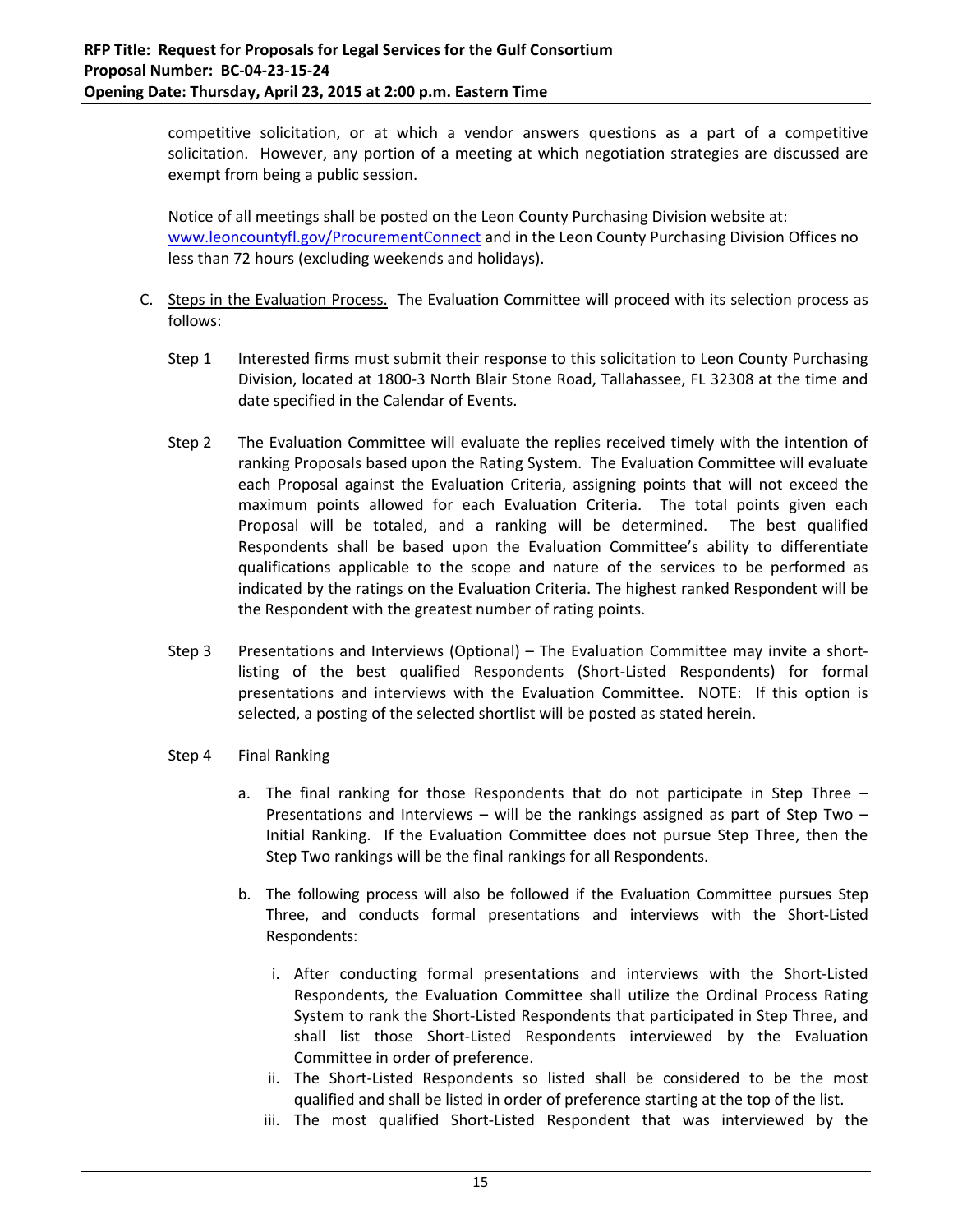competitive solicitation, or at which a vendor answers questions as a part of a competitive solicitation. However, any portion of a meeting at which negotiation strategies are discussed are exempt from being a public session.

Notice of all meetings shall be posted on the Leon County Purchasing Division website at: www.leoncountyfl.gov/ProcurementConnect and in the Leon County Purchasing Division Offices no less than 72 hours (excluding weekends and holidays).

- C. Steps in the Evaluation Process. The Evaluation Committee will proceed with its selection process as follows:
	- Step 1 Interested firms must submit their response to this solicitation to Leon County Purchasing Division, located at 1800‐3 North Blair Stone Road, Tallahassee, FL 32308 at the time and date specified in the Calendar of Events.
	- Step 2 The Evaluation Committee will evaluate the replies received timely with the intention of ranking Proposals based upon the Rating System. The Evaluation Committee will evaluate each Proposal against the Evaluation Criteria, assigning points that will not exceed the maximum points allowed for each Evaluation Criteria. The total points given each Proposal will be totaled, and a ranking will be determined. The best qualified Respondents shall be based upon the Evaluation Committee's ability to differentiate qualifications applicable to the scope and nature of the services to be performed as indicated by the ratings on the Evaluation Criteria. The highest ranked Respondent will be the Respondent with the greatest number of rating points.
	- Step 3 Presentations and Interviews (Optional) The Evaluation Committee may invite a shortlisting of the best qualified Respondents (Short‐Listed Respondents) for formal presentations and interviews with the Evaluation Committee. NOTE: If this option is selected, a posting of the selected shortlist will be posted as stated herein.
	- Step 4 Final Ranking
		- a. The final ranking for those Respondents that do not participate in Step Three Presentations and Interviews – will be the rankings assigned as part of Step Two – Initial Ranking. If the Evaluation Committee does not pursue Step Three, then the Step Two rankings will be the final rankings for all Respondents.
		- b. The following process will also be followed if the Evaluation Committee pursues Step Three, and conducts formal presentations and interviews with the Short‐Listed Respondents:
			- i. After conducting formal presentations and interviews with the Short‐Listed Respondents, the Evaluation Committee shall utilize the Ordinal Process Rating System to rank the Short‐Listed Respondents that participated in Step Three, and shall list those Short‐Listed Respondents interviewed by the Evaluation Committee in order of preference.
			- ii. The Short‐Listed Respondents so listed shall be considered to be the most qualified and shall be listed in order of preference starting at the top of the list.
			- iii. The most qualified Short-Listed Respondent that was interviewed by the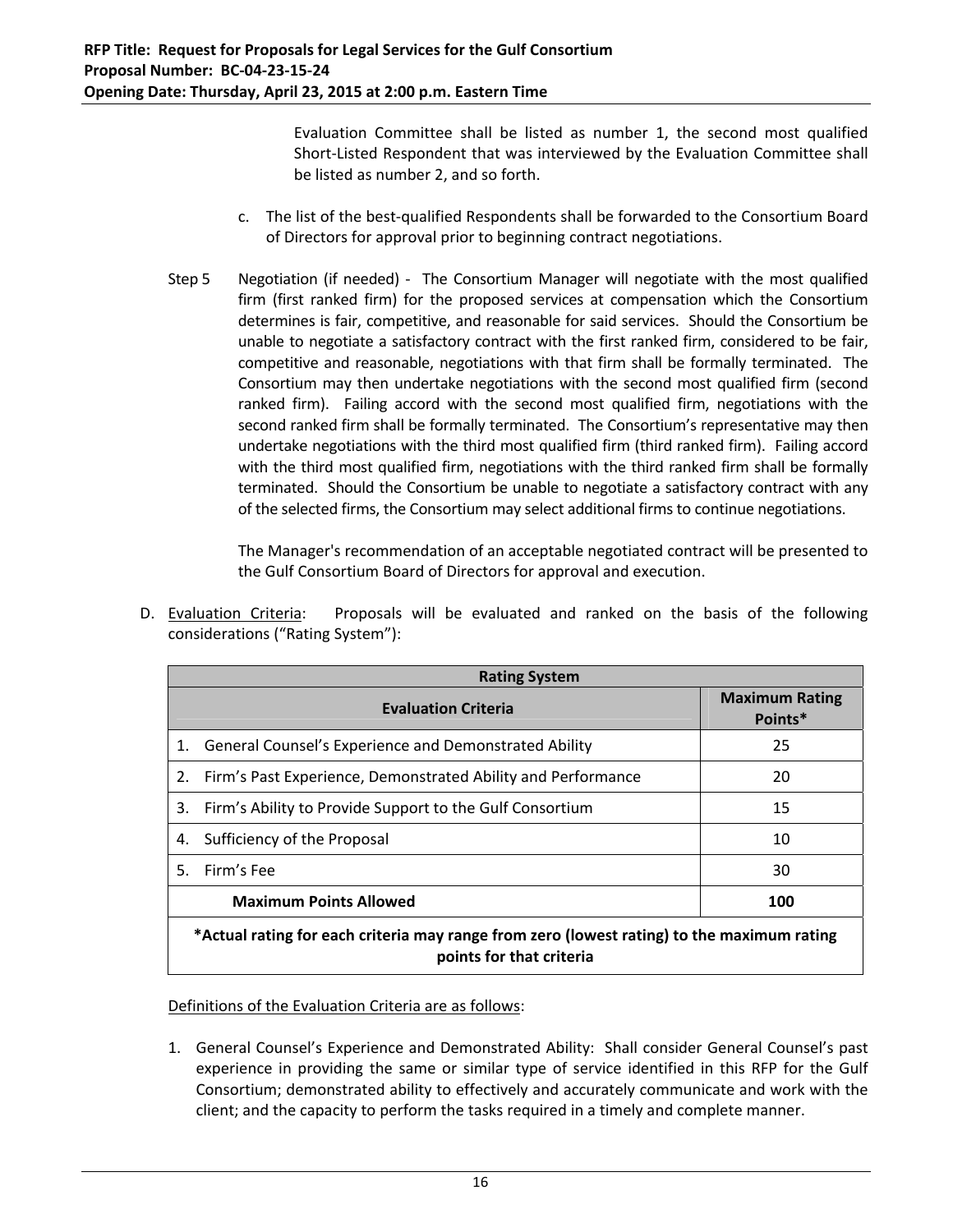Evaluation Committee shall be listed as number 1, the second most qualified Short-Listed Respondent that was interviewed by the Evaluation Committee shall be listed as number 2, and so forth.

- c. The list of the best‐qualified Respondents shall be forwarded to the Consortium Board of Directors for approval prior to beginning contract negotiations.
- Step 5 Negotiation (if needed) The Consortium Manager will negotiate with the most qualified firm (first ranked firm) for the proposed services at compensation which the Consortium determines is fair, competitive, and reasonable for said services. Should the Consortium be unable to negotiate a satisfactory contract with the first ranked firm, considered to be fair, competitive and reasonable, negotiations with that firm shall be formally terminated. The Consortium may then undertake negotiations with the second most qualified firm (second ranked firm). Failing accord with the second most qualified firm, negotiations with the second ranked firm shall be formally terminated. The Consortium's representative may then undertake negotiations with the third most qualified firm (third ranked firm). Failing accord with the third most qualified firm, negotiations with the third ranked firm shall be formally terminated. Should the Consortium be unable to negotiate a satisfactory contract with any of the selected firms, the Consortium may select additional firms to continue negotiations.

The Manager's recommendation of an acceptable negotiated contract will be presented to the Gulf Consortium Board of Directors for approval and execution.

| <b>Rating System</b>                                                                       |  |                                  |
|--------------------------------------------------------------------------------------------|--|----------------------------------|
| <b>Evaluation Criteria</b>                                                                 |  | <b>Maximum Rating</b><br>Points* |
| General Counsel's Experience and Demonstrated Ability<br>1.                                |  | 25                               |
| Firm's Past Experience, Demonstrated Ability and Performance<br>2.                         |  | 20                               |
| Firm's Ability to Provide Support to the Gulf Consortium<br>3.                             |  | 15                               |
| Sufficiency of the Proposal<br>10<br>4.                                                    |  |                                  |
| Firm's Fee<br>5.                                                                           |  | 30                               |
| <b>Maximum Points Allowed</b><br>100                                                       |  |                                  |
| *Actual rating for each criteria may range from zero (lowest rating) to the maximum rating |  |                                  |

D. Evaluation Criteria: Proposals will be evaluated and ranked on the basis of the following considerations ("Rating System"):

**points for that criteria**

# Definitions of the Evaluation Criteria are as follows:

1. General Counsel's Experience and Demonstrated Ability: Shall consider General Counsel's past experience in providing the same or similar type of service identified in this RFP for the Gulf Consortium; demonstrated ability to effectively and accurately communicate and work with the client; and the capacity to perform the tasks required in a timely and complete manner.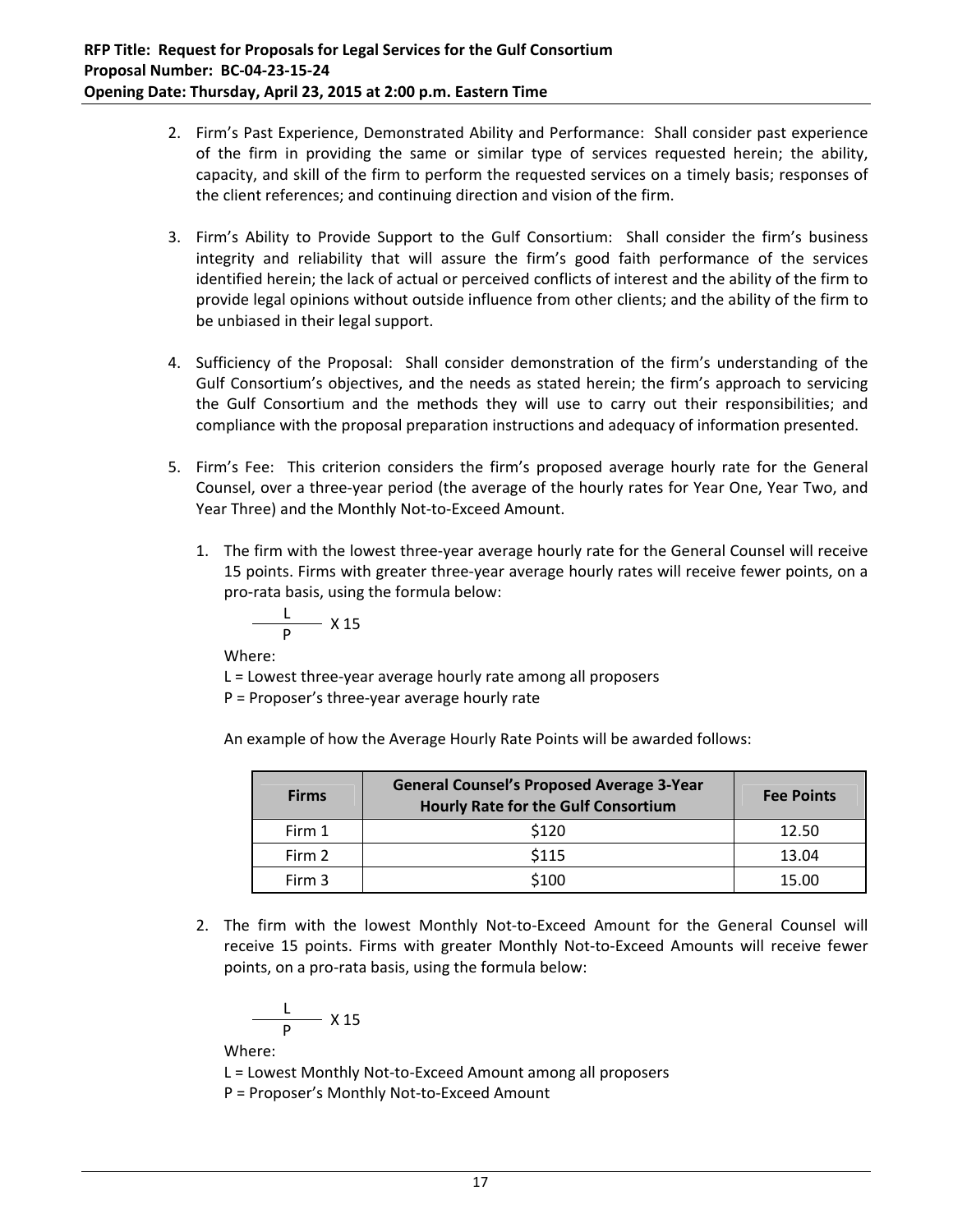- 2. Firm's Past Experience, Demonstrated Ability and Performance: Shall consider past experience of the firm in providing the same or similar type of services requested herein; the ability, capacity, and skill of the firm to perform the requested services on a timely basis; responses of the client references; and continuing direction and vision of the firm.
- 3. Firm's Ability to Provide Support to the Gulf Consortium: Shall consider the firm's business integrity and reliability that will assure the firm's good faith performance of the services identified herein; the lack of actual or perceived conflicts of interest and the ability of the firm to provide legal opinions without outside influence from other clients; and the ability of the firm to be unbiased in their legal support.
- 4. Sufficiency of the Proposal: Shall consider demonstration of the firm's understanding of the Gulf Consortium's objectives, and the needs as stated herein; the firm's approach to servicing the Gulf Consortium and the methods they will use to carry out their responsibilities; and compliance with the proposal preparation instructions and adequacy of information presented.
- 5. Firm's Fee: This criterion considers the firm's proposed average hourly rate for the General Counsel, over a three‐year period (the average of the hourly rates for Year One, Year Two, and Year Three) and the Monthly Not‐to‐Exceed Amount.
	- 1. The firm with the lowest three-year average hourly rate for the General Counsel will receive 15 points. Firms with greater three-year average hourly rates will receive fewer points, on a pro‐rata basis, using the formula below:

$$
\frac{L}{P} \times 15
$$

Where:

L = Lowest three‐year average hourly rate among all proposers

P = Proposer's three‐year average hourly rate

An example of how the Average Hourly Rate Points will be awarded follows:

| <b>Firms</b> | <b>General Counsel's Proposed Average 3-Year</b><br><b>Hourly Rate for the Gulf Consortium</b> | <b>Fee Points</b> |
|--------------|------------------------------------------------------------------------------------------------|-------------------|
| Firm 1       | \$120                                                                                          | 12.50             |
| Firm 2       | \$115                                                                                          | 13.04             |
| Firm 3       | \$100                                                                                          | 15.00             |

2. The firm with the lowest Monthly Not-to-Exceed Amount for the General Counsel will receive 15 points. Firms with greater Monthly Not‐to‐Exceed Amounts will receive fewer points, on a pro‐rata basis, using the formula below:

$$
\frac{L}{P} \times 15
$$

Where:

L = Lowest Monthly Not‐to‐Exceed Amount among all proposers

P = Proposer's Monthly Not‐to‐Exceed Amount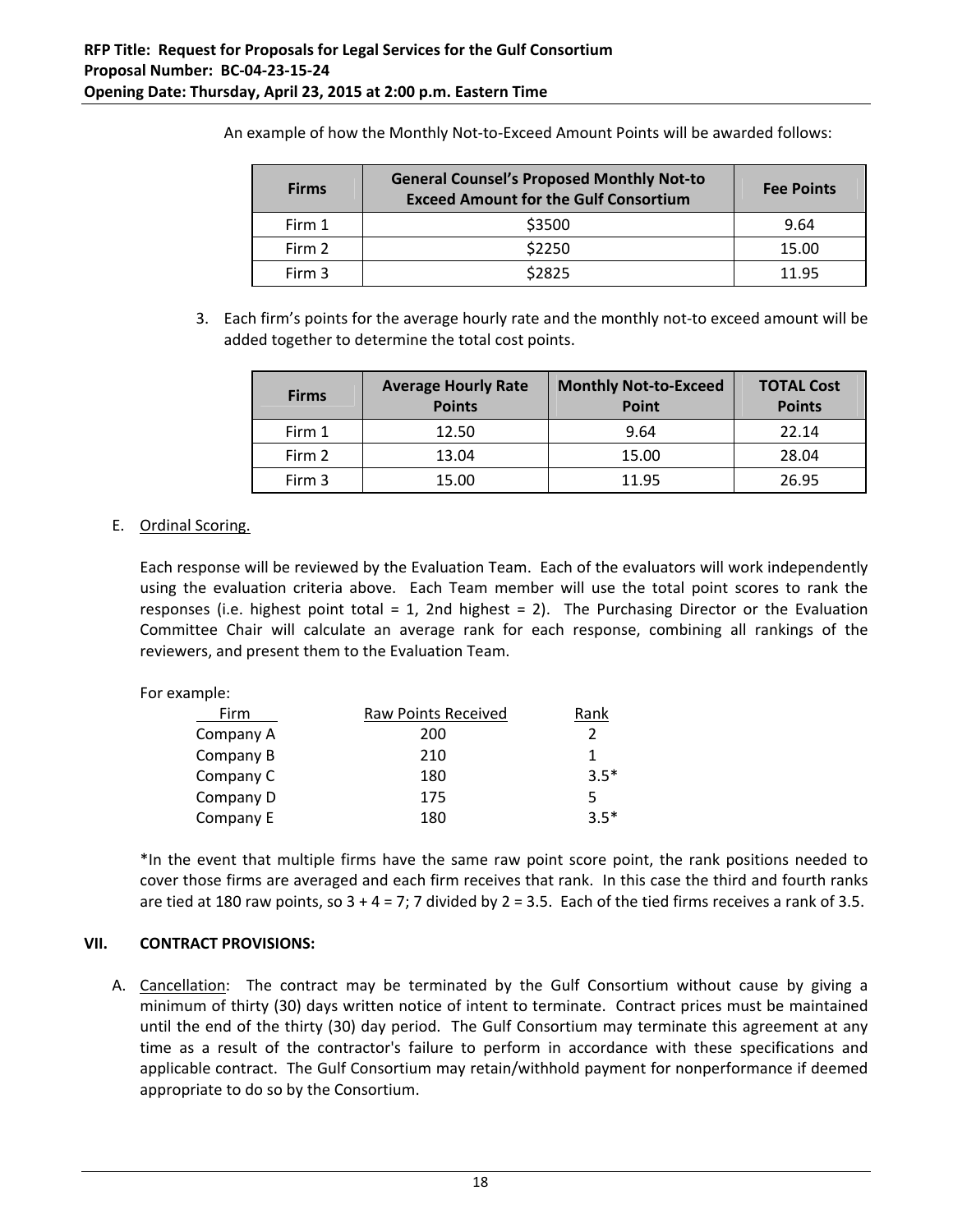| <b>Firms</b> | <b>General Counsel's Proposed Monthly Not-to</b><br><b>Exceed Amount for the Gulf Consortium</b> | <b>Fee Points</b> |
|--------------|--------------------------------------------------------------------------------------------------|-------------------|
| Firm 1       | \$3500                                                                                           | 9.64              |
| Firm 2       | \$2250                                                                                           | 15.00             |
| Firm 3       | \$2825                                                                                           | 11 95             |

An example of how the Monthly Not-to-Exceed Amount Points will be awarded follows:

3. Each firm's points for the average hourly rate and the monthly not‐to exceed amount will be added together to determine the total cost points.

| <b>Firms</b> | <b>Average Hourly Rate</b><br><b>Points</b> | <b>Monthly Not-to-Exceed</b><br><b>Point</b> | <b>TOTAL Cost</b><br><b>Points</b> |
|--------------|---------------------------------------------|----------------------------------------------|------------------------------------|
| Firm 1       | 12.50                                       | 9.64                                         | 22.14                              |
| Firm 2       | 13.04                                       | 15.00                                        | 28.04                              |
| Firm 3       | 15.00                                       | 11.95                                        | 26.95                              |

## E. Ordinal Scoring.

Each response will be reviewed by the Evaluation Team. Each of the evaluators will work independently using the evaluation criteria above. Each Team member will use the total point scores to rank the responses (i.e. highest point total  $= 1$ , 2nd highest  $= 2$ ). The Purchasing Director or the Evaluation Committee Chair will calculate an average rank for each response, combining all rankings of the reviewers, and present them to the Evaluation Team.

| For example: |                     |        |
|--------------|---------------------|--------|
| Firm         | Raw Points Received | Rank   |
| Company A    | 200                 |        |
| Company B    | 210                 |        |
| Company C    | 180                 | $3.5*$ |
| Company D    | 175                 |        |
| Company E    | 180                 | $35*$  |

\*In the event that multiple firms have the same raw point score point, the rank positions needed to cover those firms are averaged and each firm receives that rank. In this case the third and fourth ranks are tied at 180 raw points, so  $3 + 4 = 7$ ; 7 divided by  $2 = 3.5$ . Each of the tied firms receives a rank of 3.5.

# **VII. CONTRACT PROVISIONS:**

A. Cancellation: The contract may be terminated by the Gulf Consortium without cause by giving a minimum of thirty (30) days written notice of intent to terminate. Contract prices must be maintained until the end of the thirty (30) day period. The Gulf Consortium may terminate this agreement at any time as a result of the contractor's failure to perform in accordance with these specifications and applicable contract. The Gulf Consortium may retain/withhold payment for nonperformance if deemed appropriate to do so by the Consortium.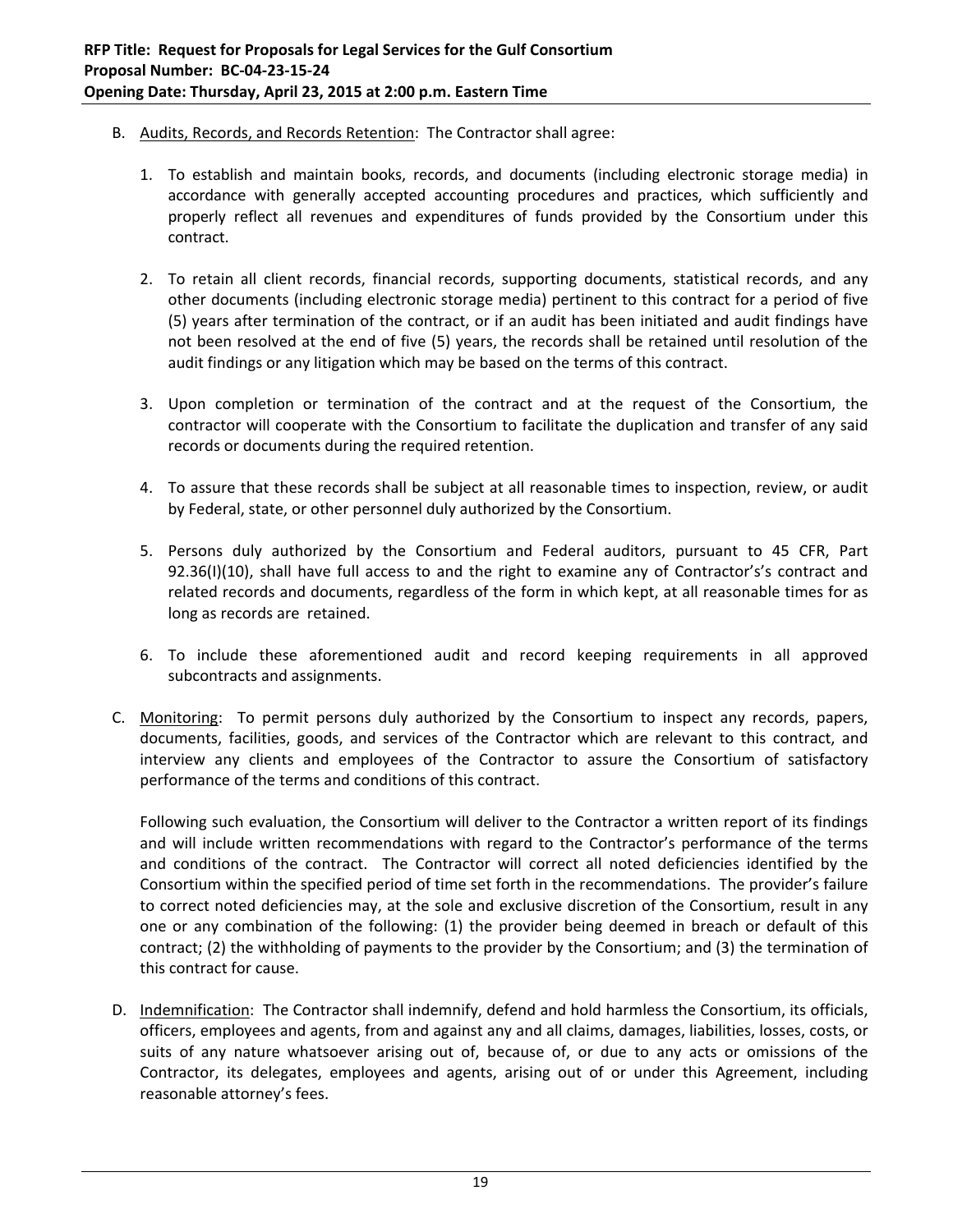- B. Audits, Records, and Records Retention: The Contractor shall agree:
	- 1. To establish and maintain books, records, and documents (including electronic storage media) in accordance with generally accepted accounting procedures and practices, which sufficiently and properly reflect all revenues and expenditures of funds provided by the Consortium under this contract.
	- 2. To retain all client records, financial records, supporting documents, statistical records, and any other documents (including electronic storage media) pertinent to this contract for a period of five (5) years after termination of the contract, or if an audit has been initiated and audit findings have not been resolved at the end of five (5) years, the records shall be retained until resolution of the audit findings or any litigation which may be based on the terms of this contract.
	- 3. Upon completion or termination of the contract and at the request of the Consortium, the contractor will cooperate with the Consortium to facilitate the duplication and transfer of any said records or documents during the required retention.
	- 4. To assure that these records shall be subject at all reasonable times to inspection, review, or audit by Federal, state, or other personnel duly authorized by the Consortium.
	- 5. Persons duly authorized by the Consortium and Federal auditors, pursuant to 45 CFR, Part 92.36(I)(10), shall have full access to and the right to examine any of Contractor's's contract and related records and documents, regardless of the form in which kept, at all reasonable times for as long as records are retained.
	- 6. To include these aforementioned audit and record keeping requirements in all approved subcontracts and assignments.
- C. Monitoring: To permit persons duly authorized by the Consortium to inspect any records, papers, documents, facilities, goods, and services of the Contractor which are relevant to this contract, and interview any clients and employees of the Contractor to assure the Consortium of satisfactory performance of the terms and conditions of this contract.

Following such evaluation, the Consortium will deliver to the Contractor a written report of its findings and will include written recommendations with regard to the Contractor's performance of the terms and conditions of the contract. The Contractor will correct all noted deficiencies identified by the Consortium within the specified period of time set forth in the recommendations. The provider's failure to correct noted deficiencies may, at the sole and exclusive discretion of the Consortium, result in any one or any combination of the following: (1) the provider being deemed in breach or default of this contract; (2) the withholding of payments to the provider by the Consortium; and (3) the termination of this contract for cause.

D. Indemnification: The Contractor shall indemnify, defend and hold harmless the Consortium, its officials, officers, employees and agents, from and against any and all claims, damages, liabilities, losses, costs, or suits of any nature whatsoever arising out of, because of, or due to any acts or omissions of the Contractor, its delegates, employees and agents, arising out of or under this Agreement, including reasonable attorney's fees.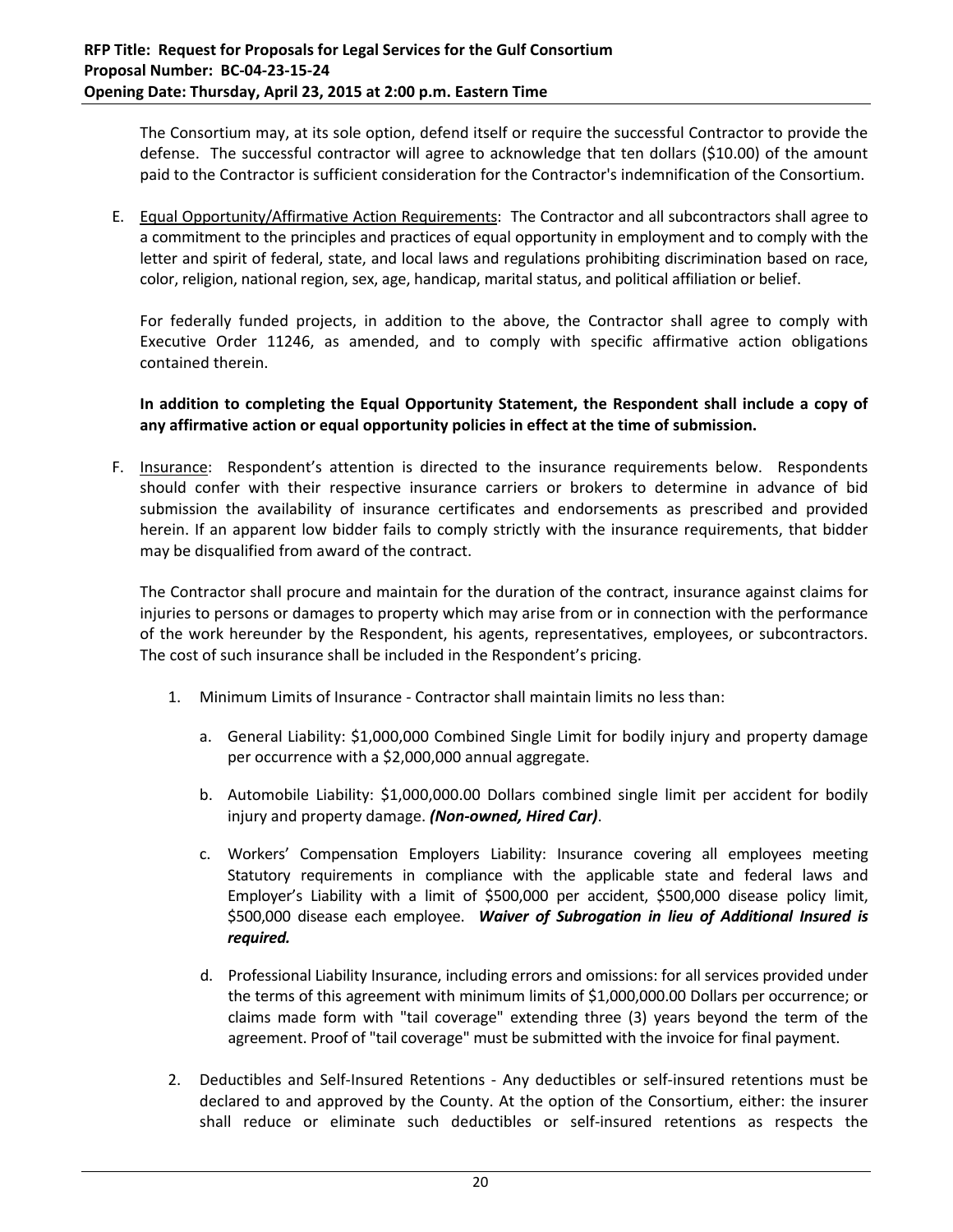The Consortium may, at its sole option, defend itself or require the successful Contractor to provide the defense. The successful contractor will agree to acknowledge that ten dollars (\$10.00) of the amount paid to the Contractor is sufficient consideration for the Contractor's indemnification of the Consortium.

E. Equal Opportunity/Affirmative Action Requirements: The Contractor and all subcontractors shall agree to a commitment to the principles and practices of equal opportunity in employment and to comply with the letter and spirit of federal, state, and local laws and regulations prohibiting discrimination based on race, color, religion, national region, sex, age, handicap, marital status, and political affiliation or belief.

For federally funded projects, in addition to the above, the Contractor shall agree to comply with Executive Order 11246, as amended, and to comply with specific affirmative action obligations contained therein.

**In addition to completing the Equal Opportunity Statement, the Respondent shall include a copy of any affirmative action or equal opportunity policies in effect at the time of submission.**

F. Insurance: Respondent's attention is directed to the insurance requirements below. Respondents should confer with their respective insurance carriers or brokers to determine in advance of bid submission the availability of insurance certificates and endorsements as prescribed and provided herein. If an apparent low bidder fails to comply strictly with the insurance requirements, that bidder may be disqualified from award of the contract.

The Contractor shall procure and maintain for the duration of the contract, insurance against claims for injuries to persons or damages to property which may arise from or in connection with the performance of the work hereunder by the Respondent, his agents, representatives, employees, or subcontractors. The cost of such insurance shall be included in the Respondent's pricing.

- 1. Minimum Limits of Insurance ‐ Contractor shall maintain limits no less than:
	- a. General Liability: \$1,000,000 Combined Single Limit for bodily injury and property damage per occurrence with a \$2,000,000 annual aggregate.
	- b. Automobile Liability: \$1,000,000.00 Dollars combined single limit per accident for bodily injury and property damage. *(Non‐owned, Hired Car)*.
	- c. Workers' Compensation Employers Liability: Insurance covering all employees meeting Statutory requirements in compliance with the applicable state and federal laws and Employer's Liability with a limit of \$500,000 per accident, \$500,000 disease policy limit, \$500,000 disease each employee. *Waiver of Subrogation in lieu of Additional Insured is required.*
	- d. Professional Liability Insurance, including errors and omissions: for all services provided under the terms of this agreement with minimum limits of \$1,000,000.00 Dollars per occurrence; or claims made form with "tail coverage" extending three (3) years beyond the term of the agreement. Proof of "tail coverage" must be submitted with the invoice for final payment.
- 2. Deductibles and Self-Insured Retentions Any deductibles or self-insured retentions must be declared to and approved by the County. At the option of the Consortium, either: the insurer shall reduce or eliminate such deductibles or self‐insured retentions as respects the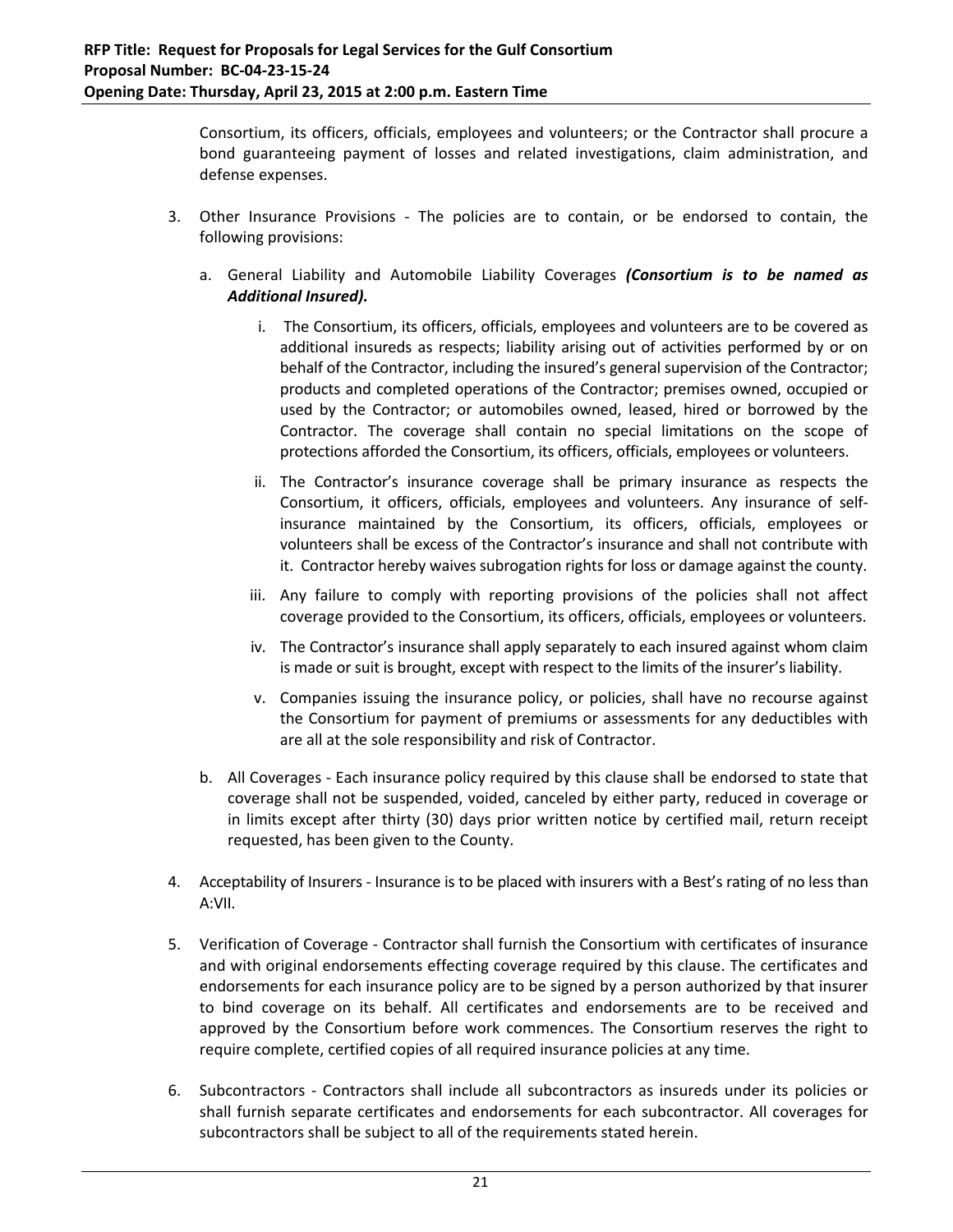Consortium, its officers, officials, employees and volunteers; or the Contractor shall procure a bond guaranteeing payment of losses and related investigations, claim administration, and defense expenses.

- 3. Other Insurance Provisions ‐ The policies are to contain, or be endorsed to contain, the following provisions:
	- a. General Liability and Automobile Liability Coverages *(Consortium is to be named as Additional Insured).*
		- i. The Consortium, its officers, officials, employees and volunteers are to be covered as additional insureds as respects; liability arising out of activities performed by or on behalf of the Contractor, including the insured's general supervision of the Contractor; products and completed operations of the Contractor; premises owned, occupied or used by the Contractor; or automobiles owned, leased, hired or borrowed by the Contractor. The coverage shall contain no special limitations on the scope of protections afforded the Consortium, its officers, officials, employees or volunteers.
		- ii. The Contractor's insurance coverage shall be primary insurance as respects the Consortium, it officers, officials, employees and volunteers. Any insurance of self‐ insurance maintained by the Consortium, its officers, officials, employees or volunteers shall be excess of the Contractor's insurance and shall not contribute with it. Contractor hereby waives subrogation rights for loss or damage against the county.
		- iii. Any failure to comply with reporting provisions of the policies shall not affect coverage provided to the Consortium, its officers, officials, employees or volunteers.
		- iv. The Contractor's insurance shall apply separately to each insured against whom claim is made or suit is brought, except with respect to the limits of the insurer's liability.
		- v. Companies issuing the insurance policy, or policies, shall have no recourse against the Consortium for payment of premiums or assessments for any deductibles with are all at the sole responsibility and risk of Contractor.
	- b. All Coverages ‐ Each insurance policy required by this clause shall be endorsed to state that coverage shall not be suspended, voided, canceled by either party, reduced in coverage or in limits except after thirty (30) days prior written notice by certified mail, return receipt requested, has been given to the County.
- 4. Acceptability of Insurers ‐ Insurance is to be placed with insurers with a Best's rating of no less than A:VII.
- 5. Verification of Coverage Contractor shall furnish the Consortium with certificates of insurance and with original endorsements effecting coverage required by this clause. The certificates and endorsements for each insurance policy are to be signed by a person authorized by that insurer to bind coverage on its behalf. All certificates and endorsements are to be received and approved by the Consortium before work commences. The Consortium reserves the right to require complete, certified copies of all required insurance policies at any time.
- 6. Subcontractors ‐ Contractors shall include all subcontractors as insureds under its policies or shall furnish separate certificates and endorsements for each subcontractor. All coverages for subcontractors shall be subject to all of the requirements stated herein.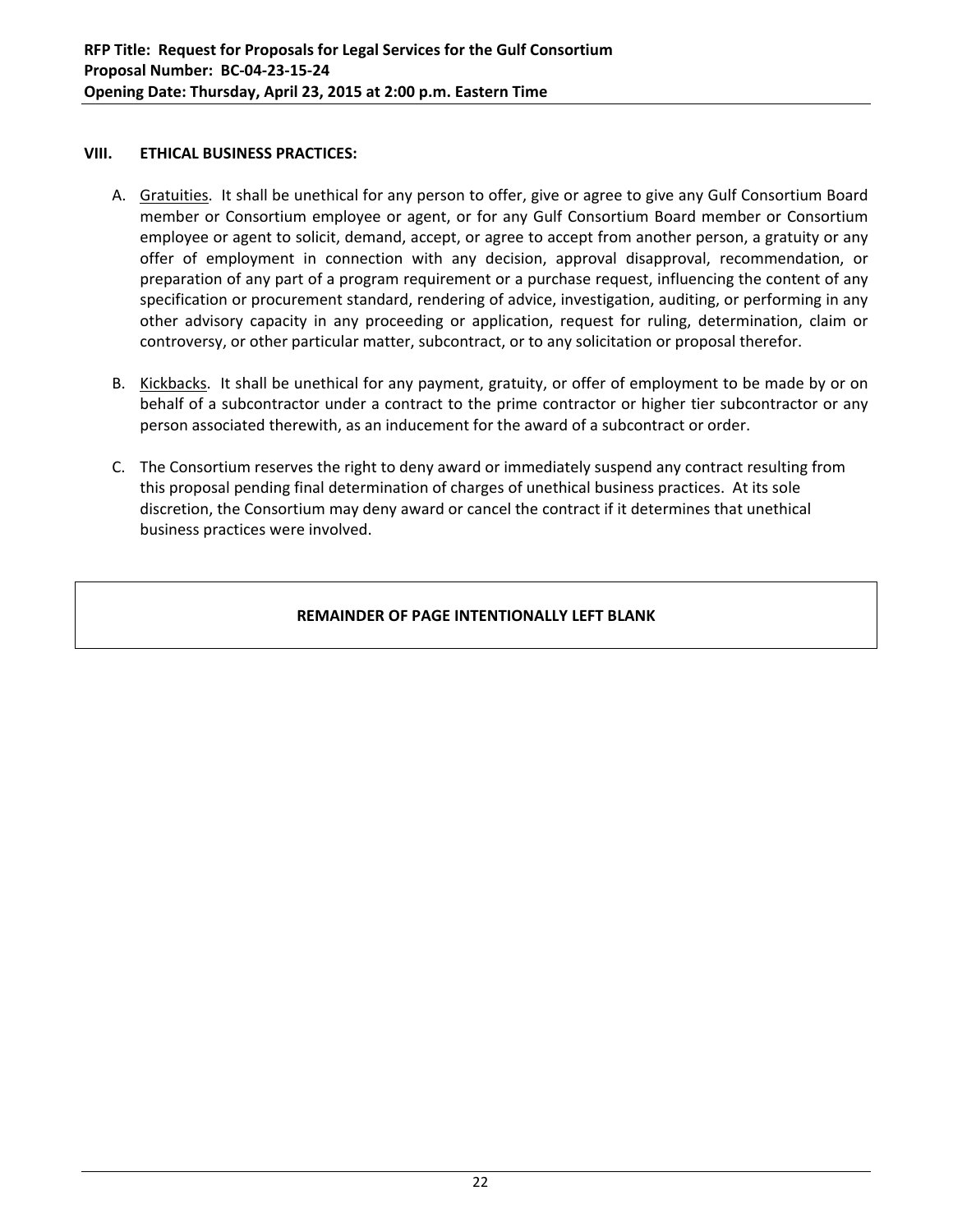## **VIII. ETHICAL BUSINESS PRACTICES:**

- A. Gratuities. It shall be unethical for any person to offer, give or agree to give any Gulf Consortium Board member or Consortium employee or agent, or for any Gulf Consortium Board member or Consortium employee or agent to solicit, demand, accept, or agree to accept from another person, a gratuity or any offer of employment in connection with any decision, approval disapproval, recommendation, or preparation of any part of a program requirement or a purchase request, influencing the content of any specification or procurement standard, rendering of advice, investigation, auditing, or performing in any other advisory capacity in any proceeding or application, request for ruling, determination, claim or controversy, or other particular matter, subcontract, or to any solicitation or proposal therefor.
- B. Kickbacks. It shall be unethical for any payment, gratuity, or offer of employment to be made by or on behalf of a subcontractor under a contract to the prime contractor or higher tier subcontractor or any person associated therewith, as an inducement for the award of a subcontract or order.
- C. The Consortium reserves the right to deny award or immediately suspend any contract resulting from this proposal pending final determination of charges of unethical business practices. At its sole discretion, the Consortium may deny award or cancel the contract if it determines that unethical business practices were involved.

# **REMAINDER OF PAGE INTENTIONALLY LEFT BLANK**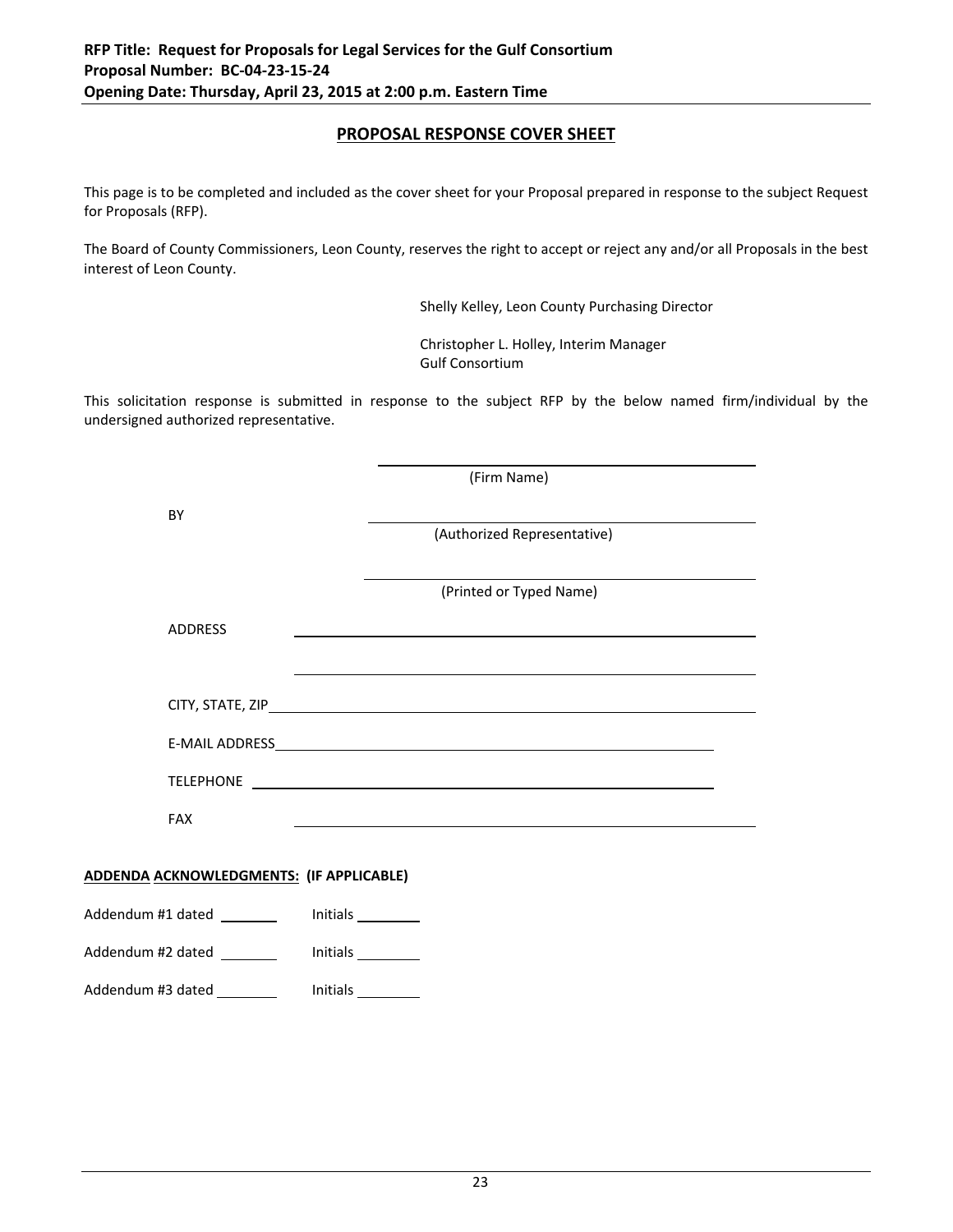# **PROPOSAL RESPONSE COVER SHEET**

This page is to be completed and included as the cover sheet for your Proposal prepared in response to the subject Request for Proposals (RFP).

The Board of County Commissioners, Leon County, reserves the right to accept or reject any and/or all Proposals in the best interest of Leon County.

Shelly Kelley, Leon County Purchasing Director

 Christopher L. Holley, Interim Manager Gulf Consortium

This solicitation response is submitted in response to the subject RFP by the below named firm/individual by the undersigned authorized representative.

|                                                 |          | (Firm Name)                                                                                                                                                                                                                          |  |
|-------------------------------------------------|----------|--------------------------------------------------------------------------------------------------------------------------------------------------------------------------------------------------------------------------------------|--|
| BY                                              |          | (Authorized Representative)                                                                                                                                                                                                          |  |
|                                                 |          |                                                                                                                                                                                                                                      |  |
|                                                 |          | (Printed or Typed Name)                                                                                                                                                                                                              |  |
| <b>ADDRESS</b>                                  |          |                                                                                                                                                                                                                                      |  |
|                                                 |          |                                                                                                                                                                                                                                      |  |
|                                                 |          |                                                                                                                                                                                                                                      |  |
|                                                 |          |                                                                                                                                                                                                                                      |  |
|                                                 |          | TELEPHONE <b>CONTRACT CONTRACT CONTRACT CONTRACT CONTRACT CONTRACT CONTRACT CONTRACT CONTRACT CONTRACT CONTRACT CONTRACT CONTRACT CONTRACT CONTRACT CONTRACT CONTRACT CONTRACT CONTRACT CONTRACT CONTRACT CONTRACT CONTRACT CONT</b> |  |
| <b>FAX</b>                                      |          |                                                                                                                                                                                                                                      |  |
| <b>ADDENDA ACKNOWLEDGMENTS: (IF APPLICABLE)</b> |          |                                                                                                                                                                                                                                      |  |
|                                                 |          |                                                                                                                                                                                                                                      |  |
| Addendum #1 dated _______                       | Initials |                                                                                                                                                                                                                                      |  |
| Addendum #2 dated ________                      |          |                                                                                                                                                                                                                                      |  |
| Addendum #3 dated _________                     |          |                                                                                                                                                                                                                                      |  |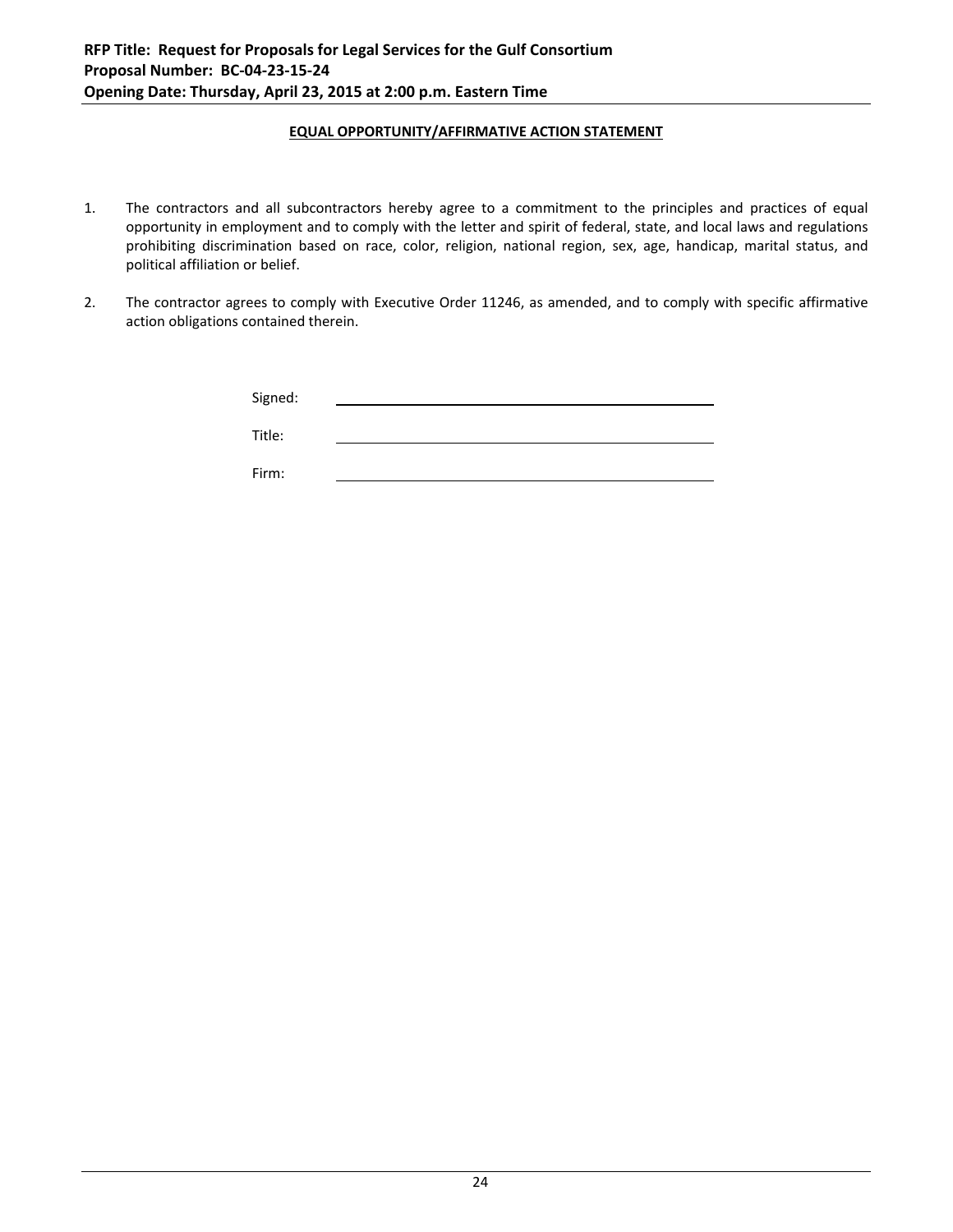#### **EQUAL OPPORTUNITY/AFFIRMATIVE ACTION STATEMENT**

- 1. The contractors and all subcontractors hereby agree to a commitment to the principles and practices of equal opportunity in employment and to comply with the letter and spirit of federal, state, and local laws and regulations prohibiting discrimination based on race, color, religion, national region, sex, age, handicap, marital status, and political affiliation or belief.
- 2. The contractor agrees to comply with Executive Order 11246, as amended, and to comply with specific affirmative action obligations contained therein.

| Signed: |  |
|---------|--|
| Title:  |  |
| Firm:   |  |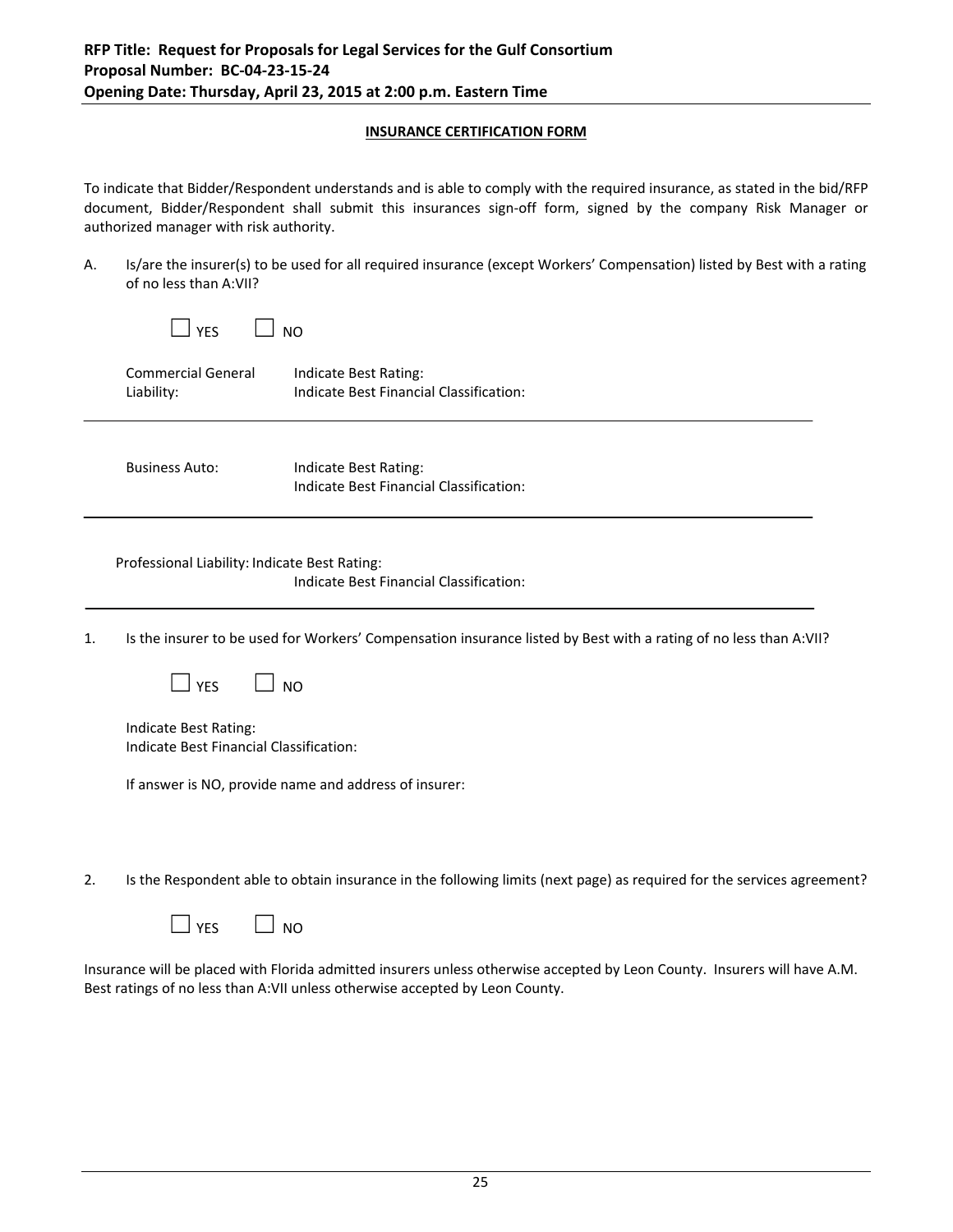#### **INSURANCE CERTIFICATION FORM**

To indicate that Bidder/Respondent understands and is able to comply with the required insurance, as stated in the bid/RFP document, Bidder/Respondent shall submit this insurances sign‐off form, signed by the company Risk Manager or authorized manager with risk authority.

A. Is/are the insurer(s) to be used for all required insurance (except Workers' Compensation) listed by Best with a rating of no less than A:VII?

|    | <b>YES</b>                                                       | N <sub>O</sub>                                                                                                         |
|----|------------------------------------------------------------------|------------------------------------------------------------------------------------------------------------------------|
|    | <b>Commercial General</b><br>Liability:                          | Indicate Best Rating:<br>Indicate Best Financial Classification:                                                       |
|    | <b>Business Auto:</b>                                            | Indicate Best Rating:<br>Indicate Best Financial Classification:                                                       |
|    | Professional Liability: Indicate Best Rating:                    | Indicate Best Financial Classification:                                                                                |
| 1. |                                                                  | Is the insurer to be used for Workers' Compensation insurance listed by Best with a rating of no less than A:VII?      |
|    | <b>YES</b>                                                       | <b>NO</b>                                                                                                              |
|    | Indicate Best Rating:<br>Indicate Best Financial Classification: |                                                                                                                        |
|    |                                                                  | If answer is NO, provide name and address of insurer:                                                                  |
|    |                                                                  |                                                                                                                        |
| 2. |                                                                  | Is the Respondent able to obtain insurance in the following limits (next page) as required for the services agreement? |
|    | <b>YES</b>                                                       | N <sub>O</sub>                                                                                                         |

Insurance will be placed with Florida admitted insurers unless otherwise accepted by Leon County. Insurers will have A.M. Best ratings of no less than A:VII unless otherwise accepted by Leon County.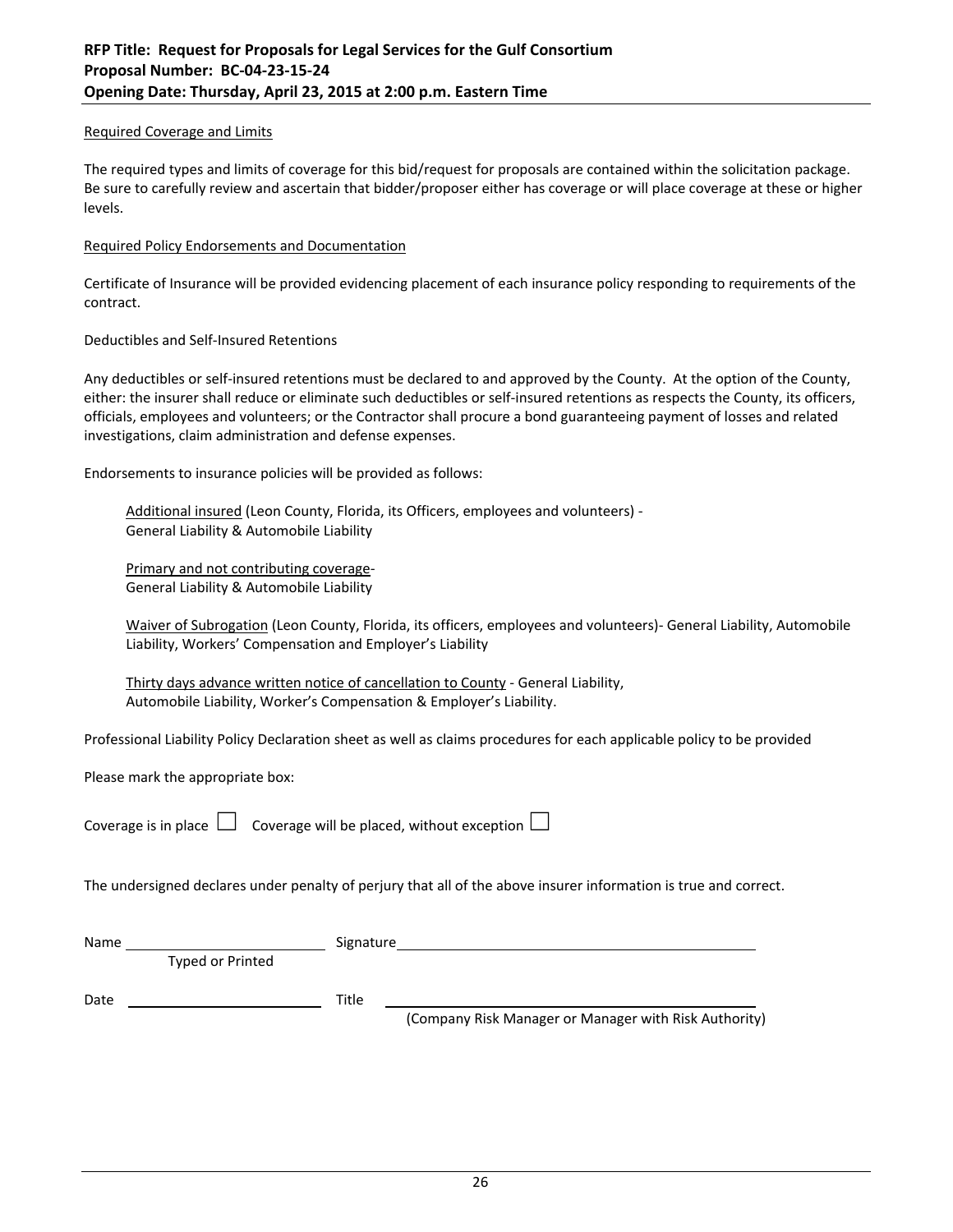#### Required Coverage and Limits

The required types and limits of coverage for this bid/request for proposals are contained within the solicitation package. Be sure to carefully review and ascertain that bidder/proposer either has coverage or will place coverage at these or higher levels.

#### Required Policy Endorsements and Documentation

Certificate of Insurance will be provided evidencing placement of each insurance policy responding to requirements of the contract.

#### Deductibles and Self‐Insured Retentions

Any deductibles or self-insured retentions must be declared to and approved by the County. At the option of the County, either: the insurer shall reduce or eliminate such deductibles or self‐insured retentions as respects the County, its officers, officials, employees and volunteers; or the Contractor shall procure a bond guaranteeing payment of losses and related investigations, claim administration and defense expenses.

Endorsements to insurance policies will be provided as follows:

Additional insured (Leon County, Florida, its Officers, employees and volunteers) ‐ General Liability & Automobile Liability

Primary and not contributing coverage‐ General Liability & Automobile Liability

Waiver of Subrogation (Leon County, Florida, its officers, employees and volunteers)- General Liability, Automobile Liability, Workers' Compensation and Employer's Liability

Thirty days advance written notice of cancellation to County - General Liability, Automobile Liability, Worker's Compensation & Employer's Liability.

Professional Liability Policy Declaration sheet as well as claims procedures for each applicable policy to be provided

Please mark the appropriate box:

Coverage is in place  $\Box$  Coverage will be placed, without exception  $\Box$ 

The undersigned declares under penalty of perjury that all of the above insurer information is true and correct.

| Name |                  | Signature                                             |
|------|------------------|-------------------------------------------------------|
|      | Typed or Printed |                                                       |
| Date |                  | Title                                                 |
|      |                  | (Company Risk Manager or Manager with Risk Authority) |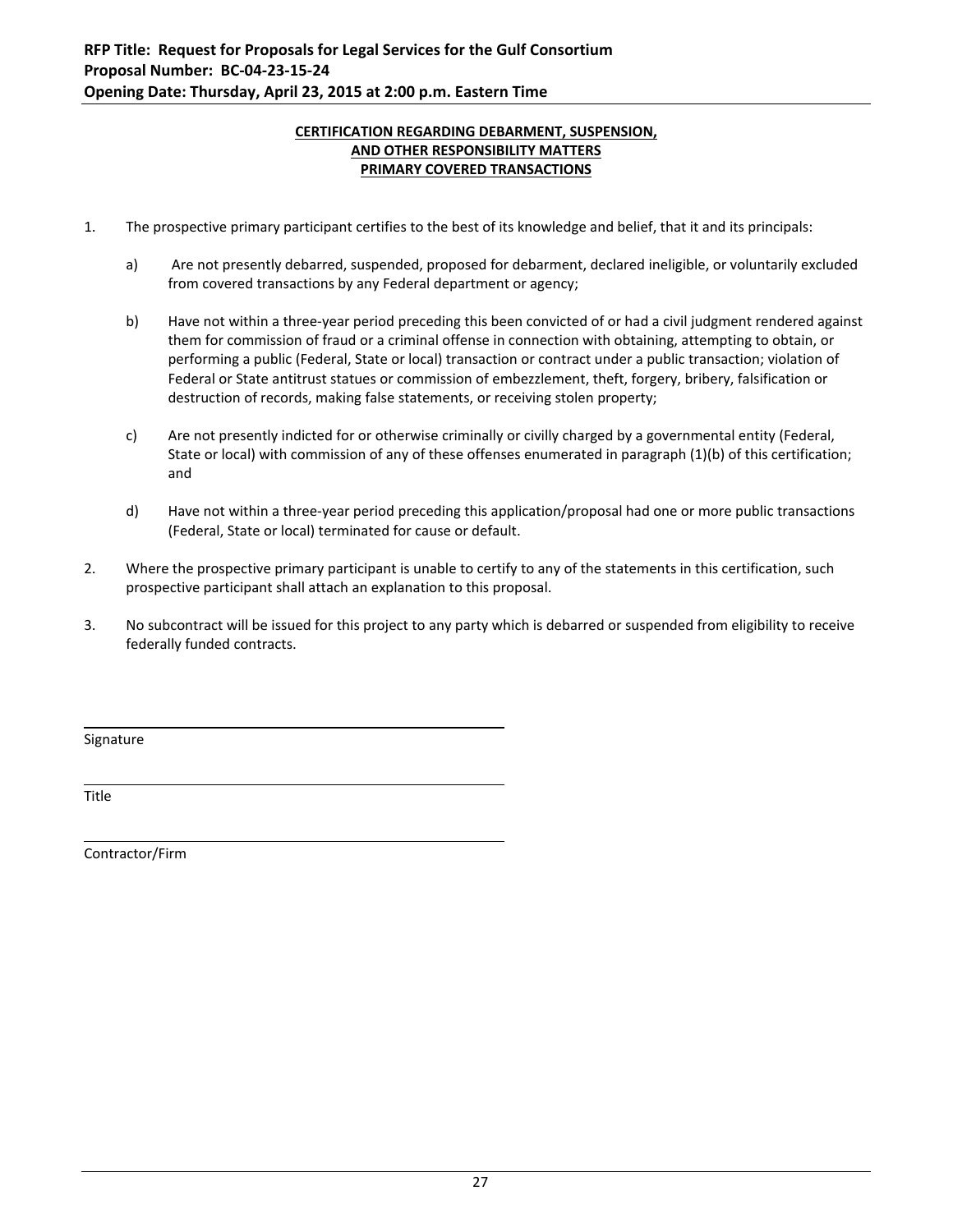#### **CERTIFICATION REGARDING DEBARMENT, SUSPENSION, AND OTHER RESPONSIBILITY MATTERS PRIMARY COVERED TRANSACTIONS**

- 1. The prospective primary participant certifies to the best of its knowledge and belief, that it and its principals:
	- a) Are not presently debarred, suspended, proposed for debarment, declared ineligible, or voluntarily excluded from covered transactions by any Federal department or agency;
	- b) Have not within a three‐year period preceding this been convicted of or had a civil judgment rendered against them for commission of fraud or a criminal offense in connection with obtaining, attempting to obtain, or performing a public (Federal, State or local) transaction or contract under a public transaction; violation of Federal or State antitrust statues or commission of embezzlement, theft, forgery, bribery, falsification or destruction of records, making false statements, or receiving stolen property;
	- c) Are not presently indicted for or otherwise criminally or civilly charged by a governmental entity (Federal, State or local) with commission of any of these offenses enumerated in paragraph (1)(b) of this certification; and
	- d) Have not within a three‐year period preceding this application/proposal had one or more public transactions (Federal, State or local) terminated for cause or default.
- 2. Where the prospective primary participant is unable to certify to any of the statements in this certification, such prospective participant shall attach an explanation to this proposal.
- 3. No subcontract will be issued for this project to any party which is debarred or suspended from eligibility to receive federally funded contracts.

<u> 1989 - Andrea San Andrea San Andrea San Andrea San Andrea San Andrea San Andrea San Andrea San Andrea San Andr</u>

<u> 1989 - Johann Stoff, deutscher Stoff, der Stoff, der Stoff, der Stoff, der Stoff, der Stoff, der Stoff, der S</u>

Signature

Title

Contractor/Firm

<u> 1980 - Johann Barn, mars ann an t-Amhain Aonaich an t-Aonaich an t-Aonaich ann an t-Aonaich ann an t-Aonaich</u>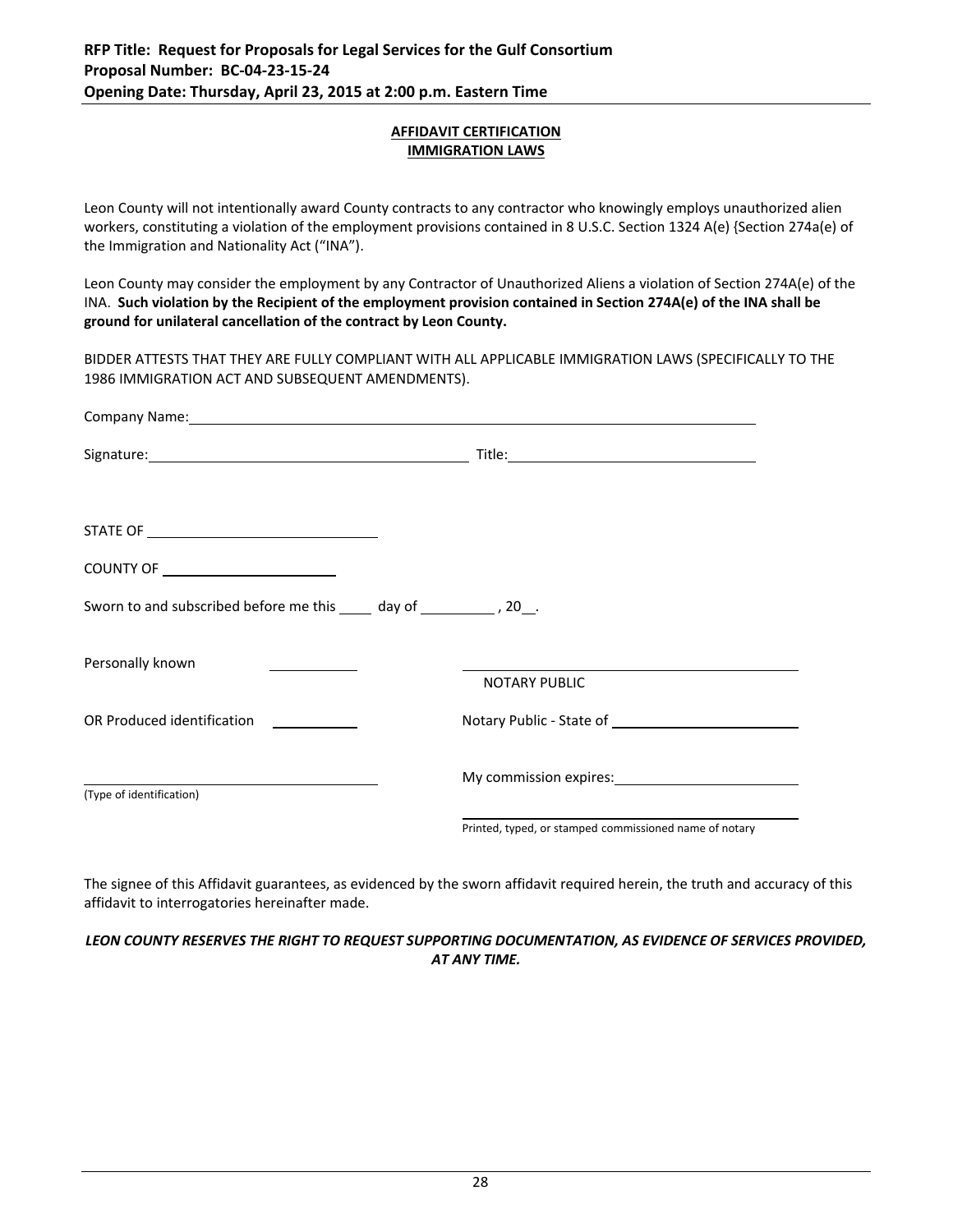#### **AFFIDAVIT CERTIFICATION IMMIGRATION LAWS**

Leon County will not intentionally award County contracts to any contractor who knowingly employs unauthorized alien workers, constituting a violation of the employment provisions contained in 8 U.S.C. Section 1324 A(e) {Section 274a(e) of the Immigration and Nationality Act ("INA").

Leon County may consider the employment by any Contractor of Unauthorized Aliens a violation of Section 274A(e) of the INA. Such violation by the Recipient of the employment provision contained in Section 274A(e) of the INA shall be **ground for unilateral cancellation of the contract by Leon County.**

BIDDER ATTESTS THAT THEY ARE FULLY COMPLIANT WITH ALL APPLICABLE IMMIGRATION LAWS (SPECIFICALLY TO THE 1986 IMMIGRATION ACT AND SUBSEQUENT AMENDMENTS).

| COUNTY OF _________________________                                     |                                                        |  |
|-------------------------------------------------------------------------|--------------------------------------------------------|--|
| Sworn to and subscribed before me this _____ day of ____________, 20__. |                                                        |  |
| Personally known                                                        |                                                        |  |
|                                                                         | <b>NOTARY PUBLIC</b>                                   |  |
| OR Produced identification                                              |                                                        |  |
|                                                                         |                                                        |  |
| (Type of identification)                                                |                                                        |  |
|                                                                         | Printed, typed, or stamped commissioned name of notary |  |

The signee of this Affidavit guarantees, as evidenced by the sworn affidavit required herein, the truth and accuracy of this affidavit to interrogatories hereinafter made.

*LEON COUNTY RESERVES THE RIGHT TO REQUEST SUPPORTING DOCUMENTATION, AS EVIDENCE OF SERVICES PROVIDED, AT ANY TIME.*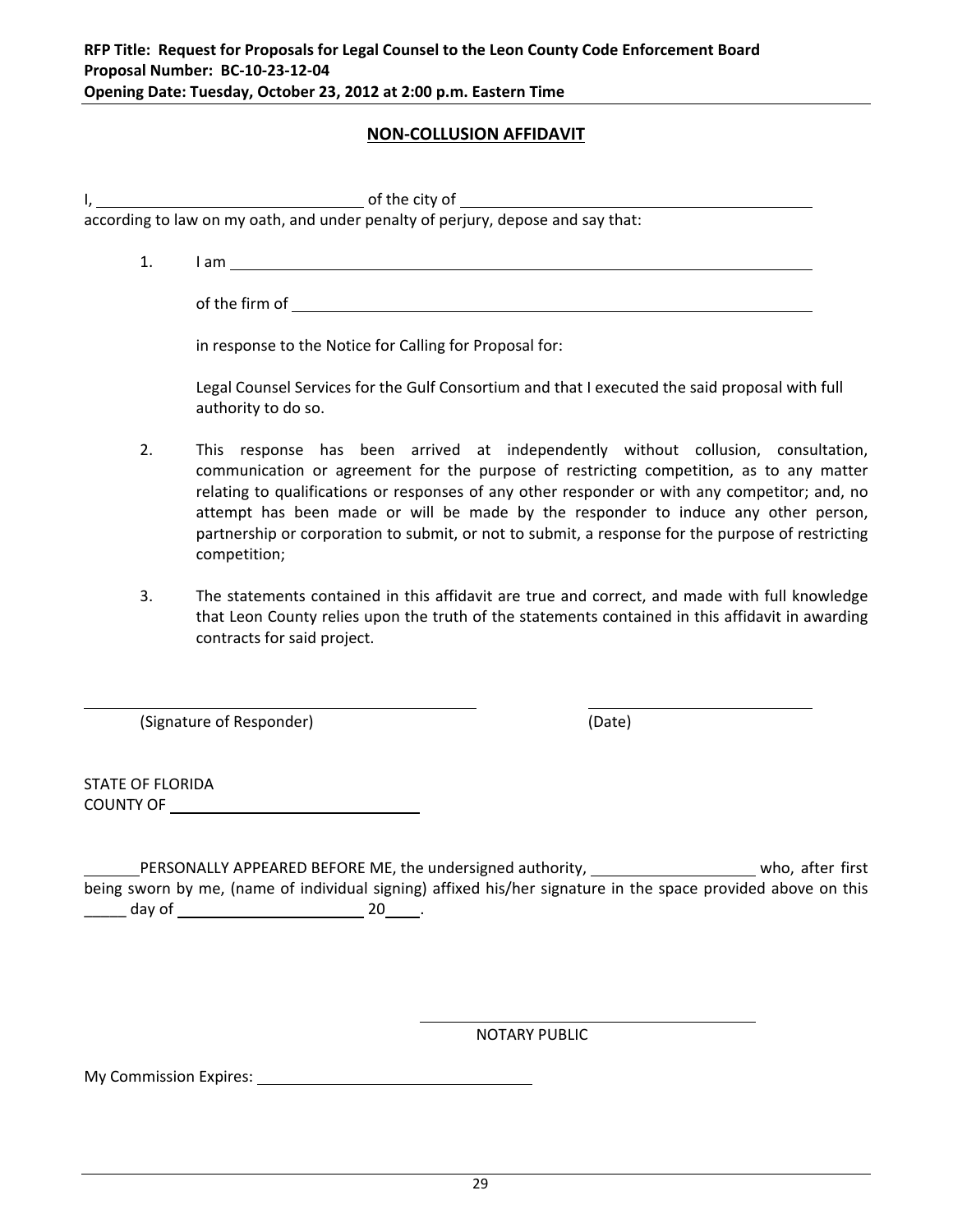# **NON‐COLLUSION AFFIDAVIT**

I, the city of the city of

according to law on my oath, and under penalty of perjury, depose and say that:

1. I am <u>example and the set of the set of the set of the set of the set of the set of the set of the set of the set of the set of the set of the set of the set of the set of the set of the set of the set of the set of the</u>

of the firm of

in response to the Notice for Calling for Proposal for:

Legal Counsel Services for the Gulf Consortium and that I executed the said proposal with full authority to do so.

- 2. This response has been arrived at independently without collusion, consultation, communication or agreement for the purpose of restricting competition, as to any matter relating to qualifications or responses of any other responder or with any competitor; and, no attempt has been made or will be made by the responder to induce any other person, partnership or corporation to submit, or not to submit, a response for the purpose of restricting competition;
- 3. The statements contained in this affidavit are true and correct, and made with full knowledge that Leon County relies upon the truth of the statements contained in this affidavit in awarding contracts for said project.

(Signature of Responder) (Date)

STATE OF FLORIDA COUNTY OF

PERSONALLY APPEARED BEFORE ME, the undersigned authority, who who, after first being sworn by me, (name of individual signing) affixed his/her signature in the space provided above on this \_\_\_\_\_\_ day of \_\_\_\_\_\_\_\_\_\_\_\_\_\_\_\_\_\_\_\_\_\_\_\_\_\_\_\_\_\_\_\_ 20\_\_\_\_\_\_.

<u> 1980 - Jan Salam Barat, marka a shekara tsa 1980 - An tsa 1980 - An tsa 1980 - An tsa 1980 - An tsa 1980 - A</u>

<u> 1980 - Andrea Barbara, martxa eta politikaria (h. 1980).</u><br>2001 - Andrea Brasilia, inpresidentziar eta politikaria (h. 1980).

NOTARY PUBLIC

My Commission Expires: